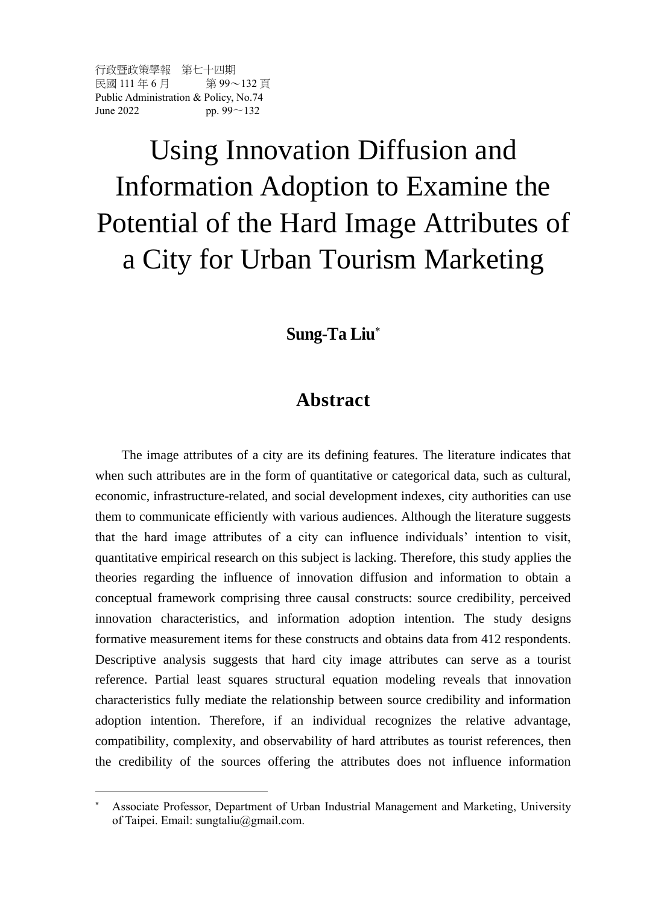行政暨政策學報 第七十四期 民國 111 年 6 月 第99~132 百 Public Administration & Policy, No.74 June 2022 pp. 99 $\sim$ 132

 $\overline{a}$ 

# Using Innovation Diffusion and Information Adoption to Examine the Potential of the Hard Image Attributes of a City for Urban Tourism Marketing

# **Sung-Ta Liu**

# **Abstract**

The image attributes of a city are its defining features. The literature indicates that when such attributes are in the form of quantitative or categorical data, such as cultural, economic, infrastructure-related, and social development indexes, city authorities can use them to communicate efficiently with various audiences. Although the literature suggests that the hard image attributes of a city can influence individuals' intention to visit, quantitative empirical research on this subject is lacking. Therefore, this study applies the theories regarding the influence of innovation diffusion and information to obtain a conceptual framework comprising three causal constructs: source credibility, perceived innovation characteristics, and information adoption intention. The study designs formative measurement items for these constructs and obtains data from 412 respondents. Descriptive analysis suggests that hard city image attributes can serve as a tourist reference. Partial least squares structural equation modeling reveals that innovation characteristics fully mediate the relationship between source credibility and information adoption intention. Therefore, if an individual recognizes the relative advantage, compatibility, complexity, and observability of hard attributes as tourist references, then the credibility of the sources offering the attributes does not influence information

Associate Professor, Department of Urban Industrial Management and Marketing, University of Taipei. Email: sungtaliu@gmail.com.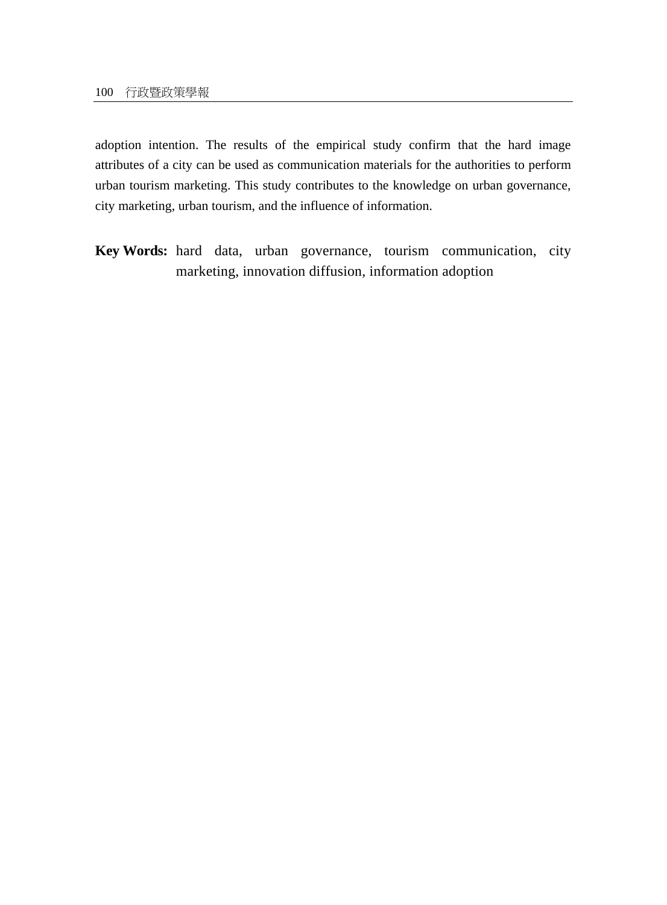adoption intention. The results of the empirical study confirm that the hard image attributes of a city can be used as communication materials for the authorities to perform urban tourism marketing. This study contributes to the knowledge on urban governance, city marketing, urban tourism, and the influence of information.

**Key Words:** hard data, urban governance, tourism communication, city marketing, innovation diffusion, information adoption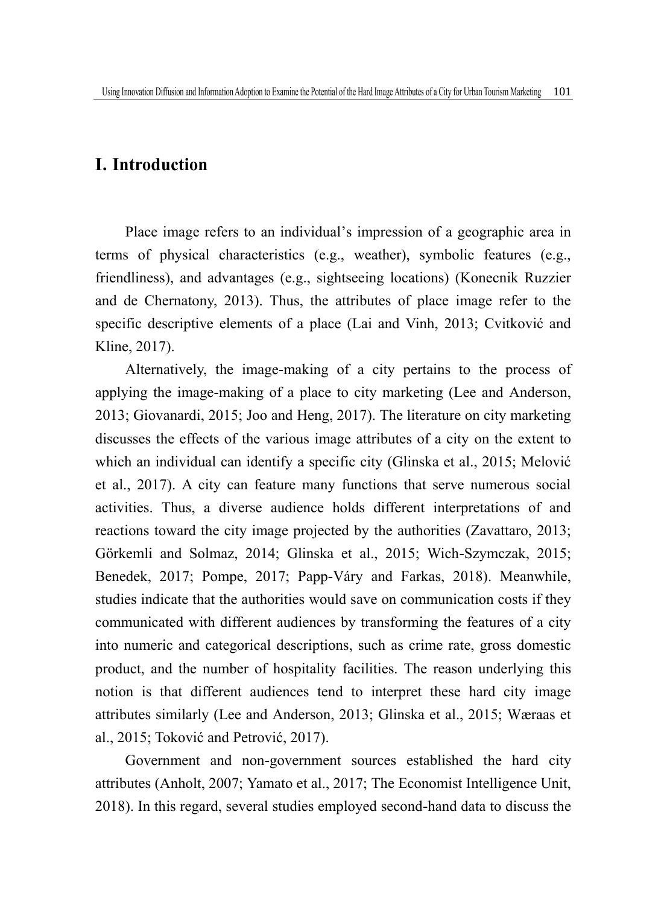## **I. Introduction**

Place image refers to an individual's impression of a geographic area in terms of physical characteristics (e.g., weather), symbolic features (e.g., friendliness), and advantages (e.g., sightseeing locations) (Konecnik Ruzzier and de Chernatony, 2013). Thus, the attributes of place image refer to the specific descriptive elements of a place (Lai and Vinh, 2013; Cvitković and Kline, 2017).

Alternatively, the image-making of a city pertains to the process of applying the image-making of a place to city marketing (Lee and Anderson, 2013; Giovanardi, 2015; Joo and Heng, 2017). The literature on city marketing discusses the effects of the various image attributes of a city on the extent to which an individual can identify a specific city (Glinska et al., 2015; Melović et al., 2017). A city can feature many functions that serve numerous social activities. Thus, a diverse audience holds different interpretations of and reactions toward the city image projected by the authorities (Zavattaro, 2013; Görkemli and Solmaz, 2014; Glinska et al., 2015; Wich-Szymczak, 2015; Benedek, 2017; Pompe, 2017; Papp-Váry and Farkas, 2018). Meanwhile, studies indicate that the authorities would save on communication costs if they communicated with different audiences by transforming the features of a city into numeric and categorical descriptions, such as crime rate, gross domestic product, and the number of hospitality facilities. The reason underlying this notion is that different audiences tend to interpret these hard city image attributes similarly (Lee and Anderson, 2013; Glinska et al., 2015; Wæraas et al., 2015; Toković and Petrović, 2017).

Government and non-government sources established the hard city attributes (Anholt, 2007; Yamato et al., 2017; The Economist Intelligence Unit, 2018). In this regard, several studies employed second-hand data to discuss the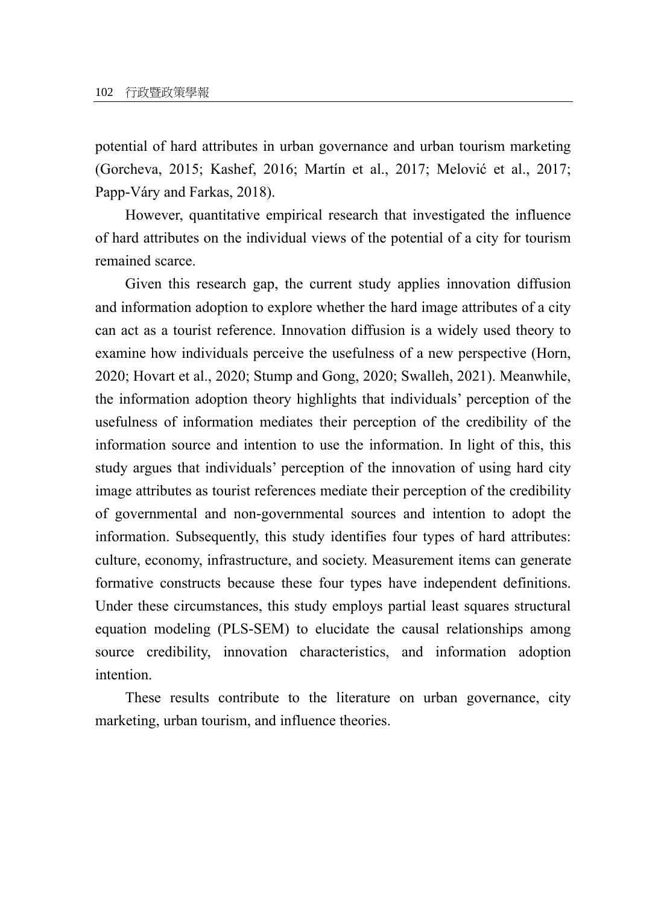potential of hard attributes in urban governance and urban tourism marketing (Gorcheva, 2015; Kashef, 2016; Martín et al., 2017; Melović et al., 2017; Papp-Váry and Farkas, 2018).

However, quantitative empirical research that investigated the influence of hard attributes on the individual views of the potential of a city for tourism remained scarce.

Given this research gap, the current study applies innovation diffusion and information adoption to explore whether the hard image attributes of a city can act as a tourist reference. Innovation diffusion is a widely used theory to examine how individuals perceive the usefulness of a new perspective (Horn, 2020; Hovart et al., 2020; Stump and Gong, 2020; Swalleh, 2021). Meanwhile, the information adoption theory highlights that individuals' perception of the usefulness of information mediates their perception of the credibility of the information source and intention to use the information. In light of this, this study argues that individuals' perception of the innovation of using hard city image attributes as tourist references mediate their perception of the credibility of governmental and non-governmental sources and intention to adopt the information. Subsequently, this study identifies four types of hard attributes: culture, economy, infrastructure, and society. Measurement items can generate formative constructs because these four types have independent definitions. Under these circumstances, this study employs partial least squares structural equation modeling (PLS-SEM) to elucidate the causal relationships among source credibility, innovation characteristics, and information adoption intention.

These results contribute to the literature on urban governance, city marketing, urban tourism, and influence theories.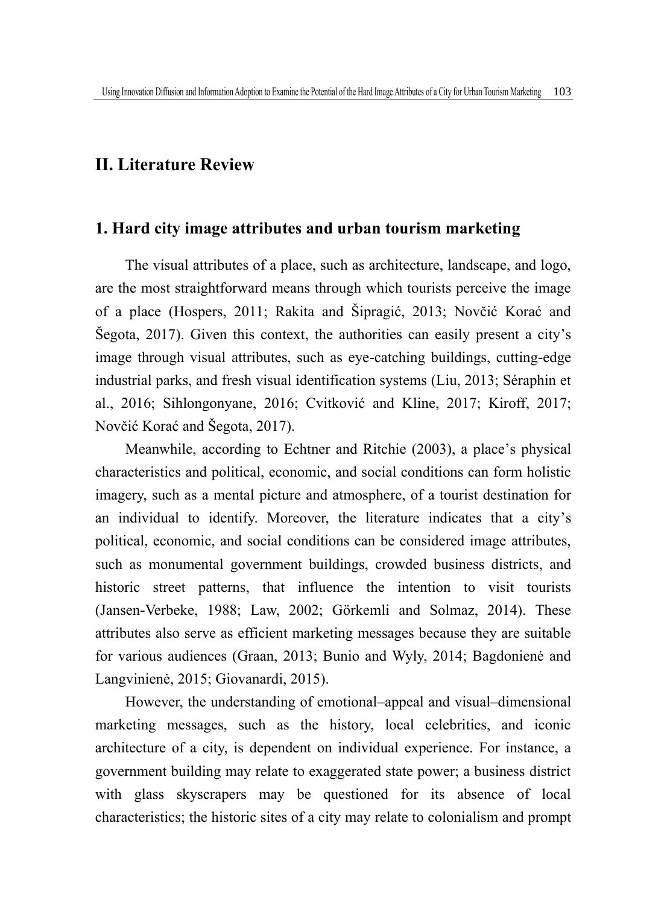## **II. Literature Review**

## **1. Hard city image attributes and urban tourism marketing**

The visual attributes of a place, such as architecture, landscape, and logo, are the most straightforward means through which tourists perceive the image of a place (Hospers, 2011; Rakita and Šipragić, 2013; Novčić Korać and Šegota, 2017). Given this context, the authorities can easily present a city's image through visual attributes, such as eye-catching buildings, cutting-edge industrial parks, and fresh visual identification systems (Liu, 2013; Séraphin et al., 2016; Sihlongonyane, 2016; Cvitković and Kline, 2017; Kiroff, 2017; Novčić Korać and Šegota, 2017).

Meanwhile, according to Echtner and Ritchie (2003), a place's physical characteristics and political, economic, and social conditions can form holistic imagery, such as a mental picture and atmosphere, of a tourist destination for an individual to identify. Moreover, the literature indicates that a city's political, economic, and social conditions can be considered image attributes, such as monumental government buildings, crowded business districts, and historic street patterns, that influence the intention to visit tourists (Jansen-Verbeke, 1988; Law, 2002; Görkemli and Solmaz, 2014). These attributes also serve as efficient marketing messages because they are suitable for various audiences (Graan, 2013; Bunio and Wyly, 2014; Bagdonienė and Langvinienė, 2015; Giovanardi, 2015).

However, the understanding of emotional–appeal and visual–dimensional marketing messages, such as the history, local celebrities, and iconic architecture of a city, is dependent on individual experience. For instance, a government building may relate to exaggerated state power; a business district with glass skyscrapers may be questioned for its absence of local characteristics; the historic sites of a city may relate to colonialism and prompt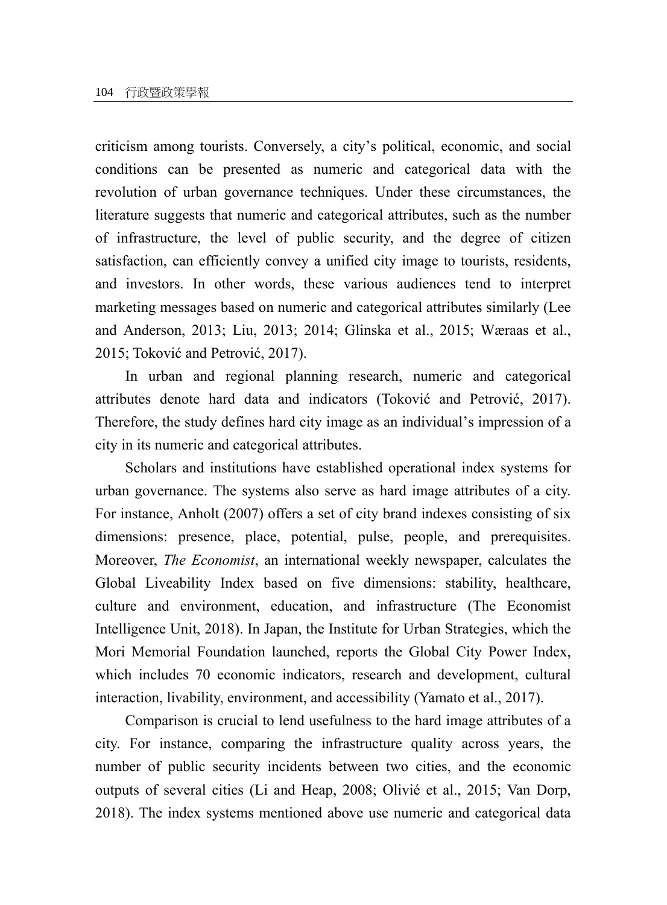criticism among tourists. Conversely, a city's political, economic, and social conditions can be presented as numeric and categorical data with the revolution of urban governance techniques. Under these circumstances, the literature suggests that numeric and categorical attributes, such as the number of infrastructure, the level of public security, and the degree of citizen satisfaction, can efficiently convey a unified city image to tourists, residents, and investors. In other words, these various audiences tend to interpret marketing messages based on numeric and categorical attributes similarly (Lee and Anderson, 2013; Liu, 2013; 2014; Glinska et al., 2015; Wæraas et al., 2015; Toković and Petrović, 2017).

In urban and regional planning research, numeric and categorical attributes denote hard data and indicators (Toković and Petrović, 2017). Therefore, the study defines hard city image as an individual's impression of a city in its numeric and categorical attributes.

Scholars and institutions have established operational index systems for urban governance. The systems also serve as hard image attributes of a city. For instance, Anholt (2007) offers a set of city brand indexes consisting of six dimensions: presence, place, potential, pulse, people, and prerequisites. Moreover, *The Economist*, an international weekly newspaper, calculates the Global Liveability Index based on five dimensions: stability, healthcare, culture and environment, education, and infrastructure (The Economist Intelligence Unit, 2018). In Japan, the Institute for Urban Strategies, which the Mori Memorial Foundation launched, reports the Global City Power Index, which includes 70 economic indicators, research and development, cultural interaction, livability, environment, and accessibility (Yamato et al., 2017).

Comparison is crucial to lend usefulness to the hard image attributes of a city. For instance, comparing the infrastructure quality across years, the number of public security incidents between two cities, and the economic outputs of several cities (Li and Heap, 2008; Olivié et al., 2015; Van Dorp, 2018). The index systems mentioned above use numeric and categorical data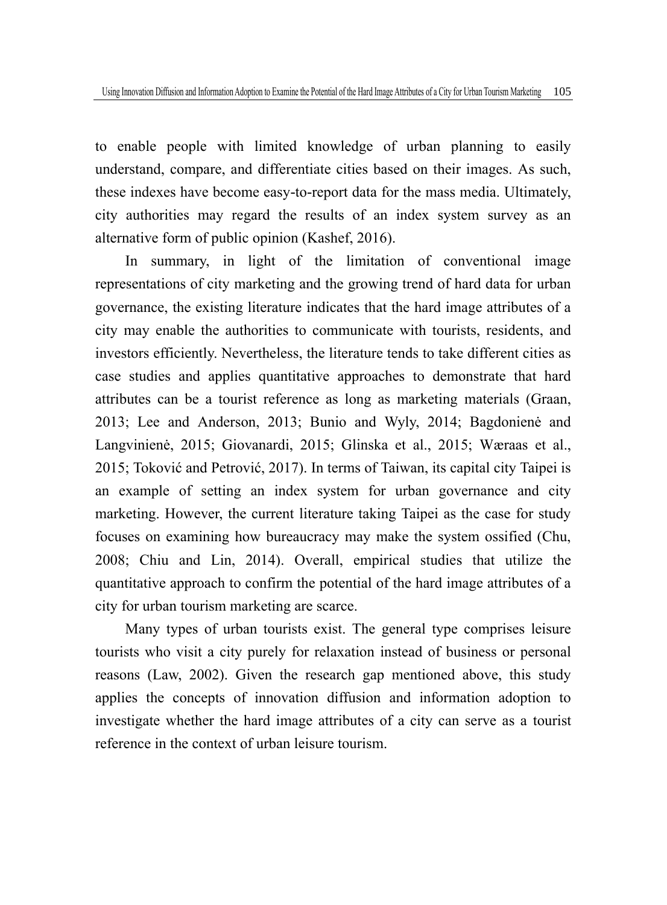to enable people with limited knowledge of urban planning to easily understand, compare, and differentiate cities based on their images. As such, these indexes have become easy-to-report data for the mass media. Ultimately, city authorities may regard the results of an index system survey as an alternative form of public opinion (Kashef, 2016).

In summary, in light of the limitation of conventional image representations of city marketing and the growing trend of hard data for urban governance, the existing literature indicates that the hard image attributes of a city may enable the authorities to communicate with tourists, residents, and investors efficiently. Nevertheless, the literature tends to take different cities as case studies and applies quantitative approaches to demonstrate that hard attributes can be a tourist reference as long as marketing materials (Graan, 2013; Lee and Anderson, 2013; Bunio and Wyly, 2014; Bagdonienė and Langvinienė, 2015; Giovanardi, 2015; Glinska et al., 2015; Wæraas et al., 2015; Toković and Petrović, 2017). In terms of Taiwan, its capital city Taipei is an example of setting an index system for urban governance and city marketing. However, the current literature taking Taipei as the case for study focuses on examining how bureaucracy may make the system ossified (Chu, 2008; Chiu and Lin, 2014). Overall, empirical studies that utilize the quantitative approach to confirm the potential of the hard image attributes of a city for urban tourism marketing are scarce.

Many types of urban tourists exist. The general type comprises leisure tourists who visit a city purely for relaxation instead of business or personal reasons (Law, 2002). Given the research gap mentioned above, this study applies the concepts of innovation diffusion and information adoption to investigate whether the hard image attributes of a city can serve as a tourist reference in the context of urban leisure tourism.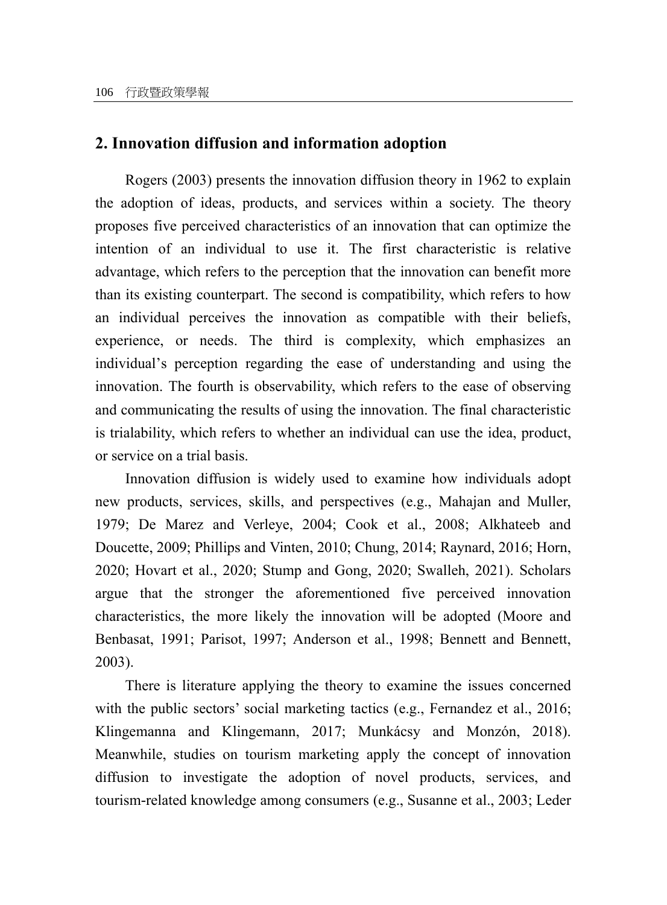## **2. Innovation diffusion and information adoption**

Rogers (2003) presents the innovation diffusion theory in 1962 to explain the adoption of ideas, products, and services within a society. The theory proposes five perceived characteristics of an innovation that can optimize the intention of an individual to use it. The first characteristic is relative advantage, which refers to the perception that the innovation can benefit more than its existing counterpart. The second is compatibility, which refers to how an individual perceives the innovation as compatible with their beliefs, experience, or needs. The third is complexity, which emphasizes an individual's perception regarding the ease of understanding and using the innovation. The fourth is observability, which refers to the ease of observing and communicating the results of using the innovation. The final characteristic is trialability, which refers to whether an individual can use the idea, product, or service on a trial basis.

Innovation diffusion is widely used to examine how individuals adopt new products, services, skills, and perspectives (e.g., Mahajan and Muller, 1979; De Marez and Verleye, 2004; Cook et al., 2008; Alkhateeb and Doucette, 2009; Phillips and Vinten, 2010; Chung, 2014; Raynard, 2016; Horn, 2020; Hovart et al., 2020; Stump and Gong, 2020; Swalleh, 2021). Scholars argue that the stronger the aforementioned five perceived innovation characteristics, the more likely the innovation will be adopted (Moore and Benbasat, 1991; Parisot, 1997; Anderson et al., 1998; Bennett and Bennett, 2003).

There is literature applying the theory to examine the issues concerned with the public sectors' social marketing tactics (e.g., Fernandez et al., 2016; Klingemanna and Klingemann, 2017; Munkácsy and Monzón, 2018). Meanwhile, studies on tourism marketing apply the concept of innovation diffusion to investigate the adoption of novel products, services, and tourism-related knowledge among consumers (e.g., Susanne et al., 2003; Leder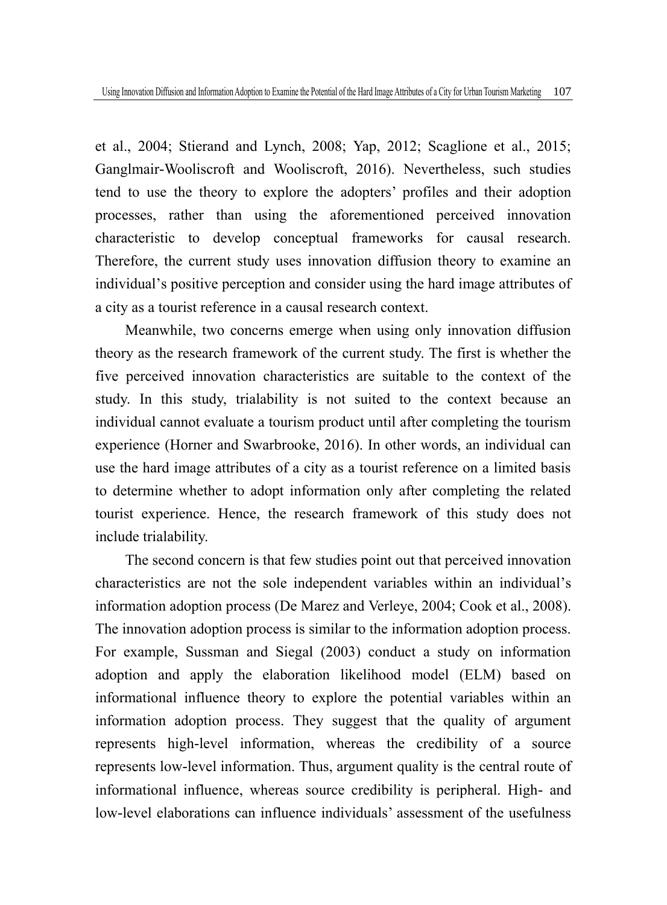et al., 2004; Stierand and Lynch, 2008; Yap, 2012; Scaglione et al., 2015; Ganglmair-Wooliscroft and Wooliscroft, 2016). Nevertheless, such studies tend to use the theory to explore the adopters' profiles and their adoption processes, rather than using the aforementioned perceived innovation characteristic to develop conceptual frameworks for causal research. Therefore, the current study uses innovation diffusion theory to examine an individual's positive perception and consider using the hard image attributes of a city as a tourist reference in a causal research context.

Meanwhile, two concerns emerge when using only innovation diffusion theory as the research framework of the current study. The first is whether the five perceived innovation characteristics are suitable to the context of the study. In this study, trialability is not suited to the context because an individual cannot evaluate a tourism product until after completing the tourism experience (Horner and Swarbrooke, 2016). In other words, an individual can use the hard image attributes of a city as a tourist reference on a limited basis to determine whether to adopt information only after completing the related tourist experience. Hence, the research framework of this study does not include trialability.

The second concern is that few studies point out that perceived innovation characteristics are not the sole independent variables within an individual's information adoption process (De Marez and Verleye, 2004; Cook et al., 2008). The innovation adoption process is similar to the information adoption process. For example, Sussman and Siegal (2003) conduct a study on information adoption and apply the elaboration likelihood model (ELM) based on informational influence theory to explore the potential variables within an information adoption process. They suggest that the quality of argument represents high-level information, whereas the credibility of a source represents low-level information. Thus, argument quality is the central route of informational influence, whereas source credibility is peripheral. High- and low-level elaborations can influence individuals' assessment of the usefulness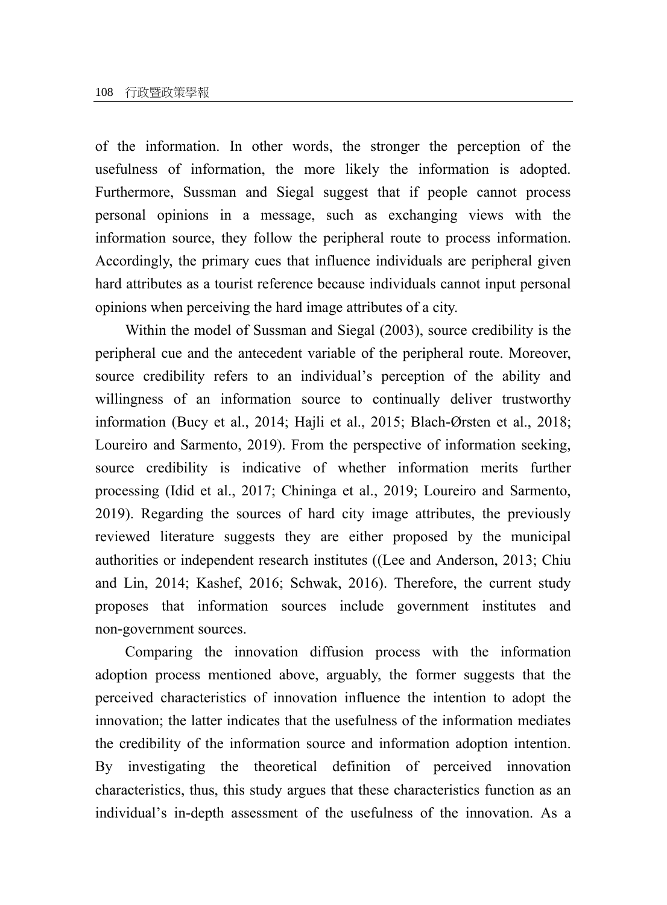of the information. In other words, the stronger the perception of the usefulness of information, the more likely the information is adopted. Furthermore, Sussman and Siegal suggest that if people cannot process personal opinions in a message, such as exchanging views with the information source, they follow the peripheral route to process information. Accordingly, the primary cues that influence individuals are peripheral given hard attributes as a tourist reference because individuals cannot input personal opinions when perceiving the hard image attributes of a city.

Within the model of Sussman and Siegal (2003), source credibility is the peripheral cue and the antecedent variable of the peripheral route. Moreover, source credibility refers to an individual's perception of the ability and willingness of an information source to continually deliver trustworthy information (Bucy et al., 2014; Hajli et al., 2015; Blach-Ørsten et al., 2018; Loureiro and Sarmento, 2019). From the perspective of information seeking, source credibility is indicative of whether information merits further processing (Idid et al., 2017; Chininga et al., 2019; Loureiro and Sarmento, 2019). Regarding the sources of hard city image attributes, the previously reviewed literature suggests they are either proposed by the municipal authorities or independent research institutes ((Lee and Anderson, 2013; Chiu and Lin, 2014; Kashef, 2016; Schwak, 2016). Therefore, the current study proposes that information sources include government institutes and non-government sources.

Comparing the innovation diffusion process with the information adoption process mentioned above, arguably, the former suggests that the perceived characteristics of innovation influence the intention to adopt the innovation; the latter indicates that the usefulness of the information mediates the credibility of the information source and information adoption intention. By investigating the theoretical definition of perceived innovation characteristics, thus, this study argues that these characteristics function as an individual's in-depth assessment of the usefulness of the innovation. As a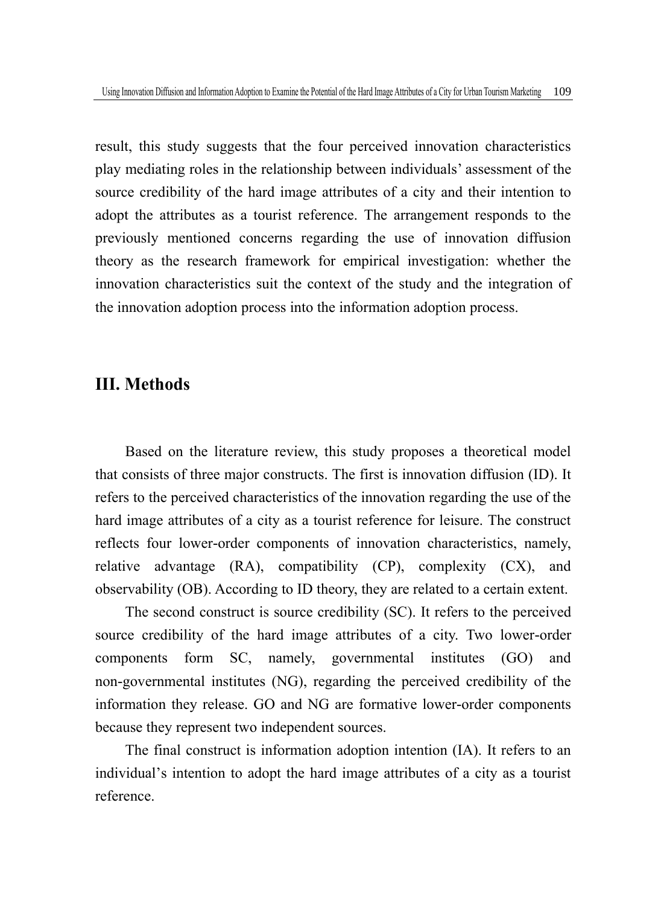result, this study suggests that the four perceived innovation characteristics play mediating roles in the relationship between individuals' assessment of the source credibility of the hard image attributes of a city and their intention to adopt the attributes as a tourist reference. The arrangement responds to the previously mentioned concerns regarding the use of innovation diffusion theory as the research framework for empirical investigation: whether the innovation characteristics suit the context of the study and the integration of the innovation adoption process into the information adoption process.

## **III. Methods**

Based on the literature review, this study proposes a theoretical model that consists of three major constructs. The first is innovation diffusion (ID). It refers to the perceived characteristics of the innovation regarding the use of the hard image attributes of a city as a tourist reference for leisure. The construct reflects four lower-order components of innovation characteristics, namely, relative advantage (RA), compatibility (CP), complexity (CX), and observability (OB). According to ID theory, they are related to a certain extent.

The second construct is source credibility (SC). It refers to the perceived source credibility of the hard image attributes of a city. Two lower-order components form SC, namely, governmental institutes (GO) and non-governmental institutes (NG), regarding the perceived credibility of the information they release. GO and NG are formative lower-order components because they represent two independent sources.

The final construct is information adoption intention (IA). It refers to an individual's intention to adopt the hard image attributes of a city as a tourist reference.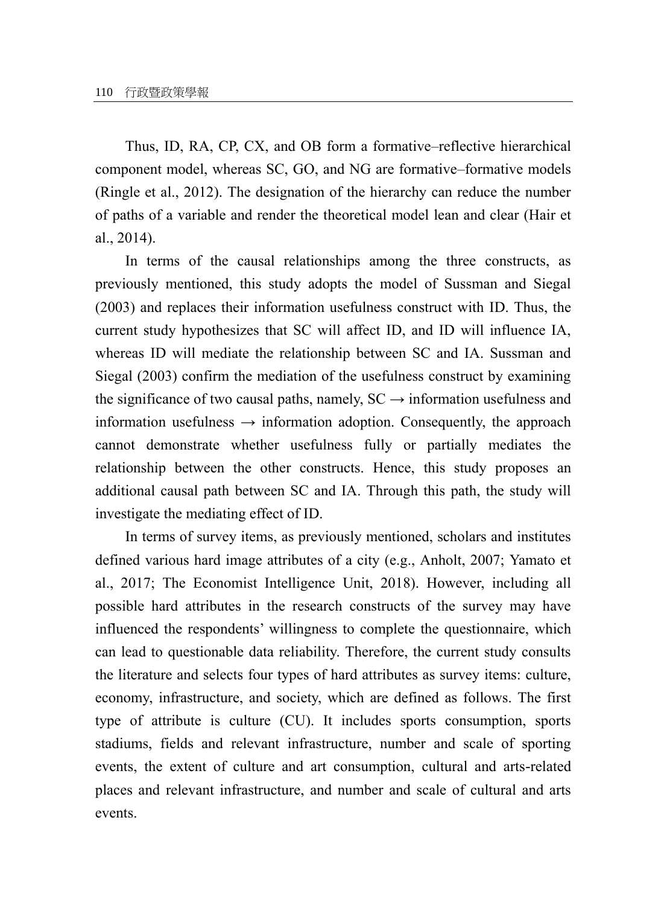Thus, ID, RA, CP, CX, and OB form a formative–reflective hierarchical component model, whereas SC, GO, and NG are formative–formative models (Ringle et al., 2012). The designation of the hierarchy can reduce the number of paths of a variable and render the theoretical model lean and clear (Hair et al., 2014).

In terms of the causal relationships among the three constructs, as previously mentioned, this study adopts the model of Sussman and Siegal (2003) and replaces their information usefulness construct with ID. Thus, the current study hypothesizes that SC will affect ID, and ID will influence IA, whereas ID will mediate the relationship between SC and IA. Sussman and Siegal (2003) confirm the mediation of the usefulness construct by examining the significance of two causal paths, namely,  $SC \rightarrow$  information usefulness and information usefulness  $\rightarrow$  information adoption. Consequently, the approach cannot demonstrate whether usefulness fully or partially mediates the relationship between the other constructs. Hence, this study proposes an additional causal path between SC and IA. Through this path, the study will investigate the mediating effect of ID.

In terms of survey items, as previously mentioned, scholars and institutes defined various hard image attributes of a city (e.g., Anholt, 2007; Yamato et al., 2017; The Economist Intelligence Unit, 2018). However, including all possible hard attributes in the research constructs of the survey may have influenced the respondents' willingness to complete the questionnaire, which can lead to questionable data reliability. Therefore, the current study consults the literature and selects four types of hard attributes as survey items: culture, economy, infrastructure, and society, which are defined as follows. The first type of attribute is culture (CU). It includes sports consumption, sports stadiums, fields and relevant infrastructure, number and scale of sporting events, the extent of culture and art consumption, cultural and arts-related places and relevant infrastructure, and number and scale of cultural and arts events.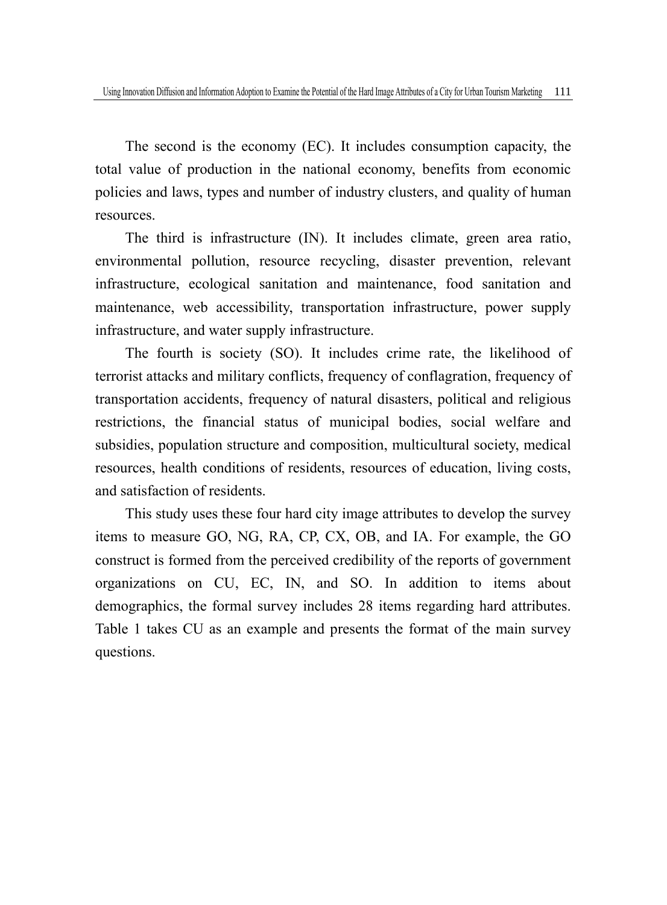The second is the economy (EC). It includes consumption capacity, the total value of production in the national economy, benefits from economic policies and laws, types and number of industry clusters, and quality of human resources.

The third is infrastructure (IN). It includes climate, green area ratio, environmental pollution, resource recycling, disaster prevention, relevant infrastructure, ecological sanitation and maintenance, food sanitation and maintenance, web accessibility, transportation infrastructure, power supply infrastructure, and water supply infrastructure.

The fourth is society (SO). It includes crime rate, the likelihood of terrorist attacks and military conflicts, frequency of conflagration, frequency of transportation accidents, frequency of natural disasters, political and religious restrictions, the financial status of municipal bodies, social welfare and subsidies, population structure and composition, multicultural society, medical resources, health conditions of residents, resources of education, living costs, and satisfaction of residents.

This study uses these four hard city image attributes to develop the survey items to measure GO, NG, RA, CP, CX, OB, and IA. For example, the GO construct is formed from the perceived credibility of the reports of government organizations on CU, EC, IN, and SO. In addition to items about demographics, the formal survey includes 28 items regarding hard attributes. Table 1 takes CU as an example and presents the format of the main survey questions.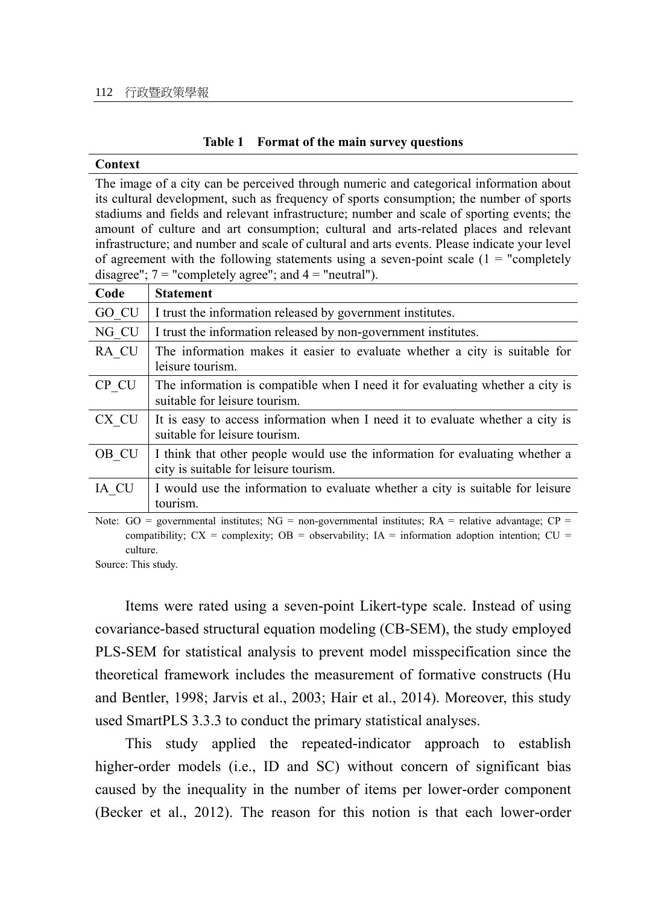#### **Table 1 Format of the main survey questions**

#### **Context**

The image of a city can be perceived through numeric and categorical information about its cultural development, such as frequency of sports consumption; the number of sports stadiums and fields and relevant infrastructure; number and scale of sporting events; the amount of culture and art consumption; cultural and arts-related places and relevant infrastructure; and number and scale of cultural and arts events. Please indicate your level of agreement with the following statements using a seven-point scale  $(1 = "completely$ disagree";  $7 =$  "completely agree"; and  $4 =$  "neutral").

| Code  | <b>Statement</b>                                                                                                                                                                                                                                                                                 |
|-------|--------------------------------------------------------------------------------------------------------------------------------------------------------------------------------------------------------------------------------------------------------------------------------------------------|
| GO CU | I trust the information released by government institutes.                                                                                                                                                                                                                                       |
| NG CU | I trust the information released by non-government institutes.                                                                                                                                                                                                                                   |
| RA CU | The information makes it easier to evaluate whether a city is suitable for<br>leisure tourism.                                                                                                                                                                                                   |
| CP CU | The information is compatible when I need it for evaluating whether a city is<br>suitable for leisure tourism.                                                                                                                                                                                   |
| CX CU | It is easy to access information when I need it to evaluate whether a city is<br>suitable for leisure tourism.                                                                                                                                                                                   |
| OB CU | I think that other people would use the information for evaluating whether a<br>city is suitable for leisure tourism.                                                                                                                                                                            |
| IA CU | I would use the information to evaluate whether a city is suitable for leisure<br>tourism.                                                                                                                                                                                                       |
|       | $\mathbf{M}$ and $\mathbf{M}$ and $\mathbf{M}$ and $\mathbf{M}$ and $\mathbf{M}$ and $\mathbf{M}$ and $\mathbf{M}$ and $\mathbf{M}$ and $\mathbf{M}$ and $\mathbf{M}$ and $\mathbf{M}$ and $\mathbf{M}$ and $\mathbf{M}$ and $\mathbf{M}$ and $\mathbf{M}$ and $\mathbf{M}$ and $\mathbf{M}$ and |

Note:  $GO = governmental$  institutes;  $NG = non-governmental$  institutes;  $RA = relative advantage$ ;  $CP =$ compatibility;  $CX =$  complexity;  $OB =$  observability;  $IA =$  information adoption intention;  $CU =$ culture.

Source: This study.

Items were rated using a seven-point Likert-type scale. Instead of using covariance-based structural equation modeling (CB-SEM), the study employed PLS-SEM for statistical analysis to prevent model misspecification since the theoretical framework includes the measurement of formative constructs (Hu and Bentler, 1998; Jarvis et al., 2003; Hair et al., 2014). Moreover, this study used SmartPLS 3.3.3 to conduct the primary statistical analyses.

This study applied the repeated-indicator approach to establish higher-order models (i.e., ID and SC) without concern of significant bias caused by the inequality in the number of items per lower-order component (Becker et al., 2012). The reason for this notion is that each lower-order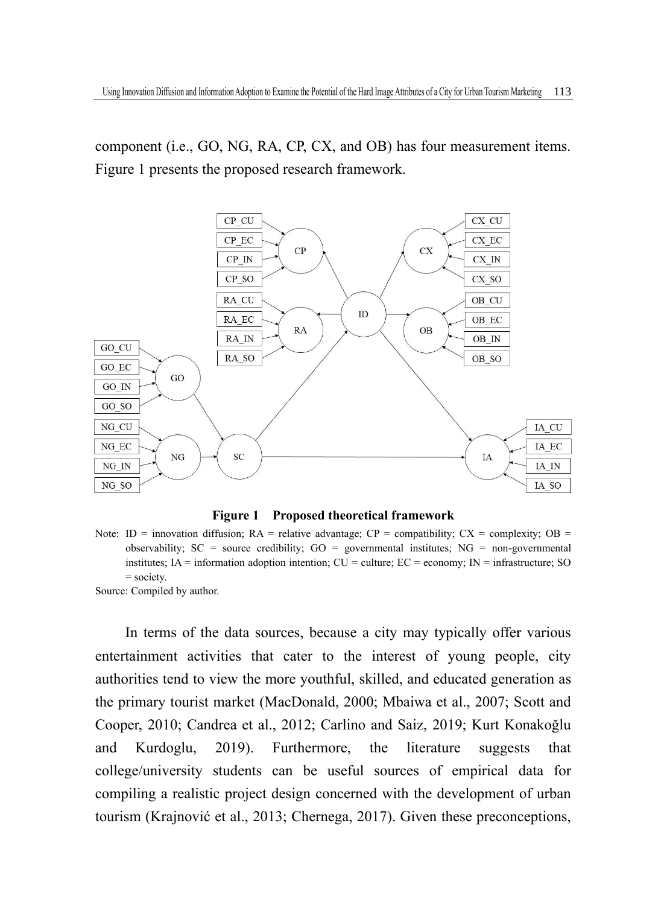component (i.e., GO, NG, RA, CP, CX, and OB) has four measurement items. Figure 1 presents the proposed research framework.



**Figure 1 Proposed theoretical framework**

Note: ID = innovation diffusion;  $RA$  = relative advantage;  $CP$  = compatibility;  $CX$  = complexity;  $OB$  = observability;  $SC = source credibility$ ;  $GO = governmental institutes$ ;  $NG = non-governmental$ institutes;  $IA =$  information adoption intention;  $CU =$  culture;  $EC =$  economy;  $IN =$  infrastructure; SO = society.

Source: Compiled by author.

In terms of the data sources, because a city may typically offer various entertainment activities that cater to the interest of young people, city authorities tend to view the more youthful, skilled, and educated generation as the primary tourist market (MacDonald, 2000; Mbaiwa et al., 2007; Scott and Cooper, 2010; Candrea et al., 2012; Carlino and Saiz, 2019; Kurt Konakoğlu and Kurdoglu, 2019). Furthermore, the literature suggests that college/university students can be useful sources of empirical data for compiling a realistic project design concerned with the development of urban tourism (Krajnović et al., 2013; Chernega, 2017). Given these preconceptions,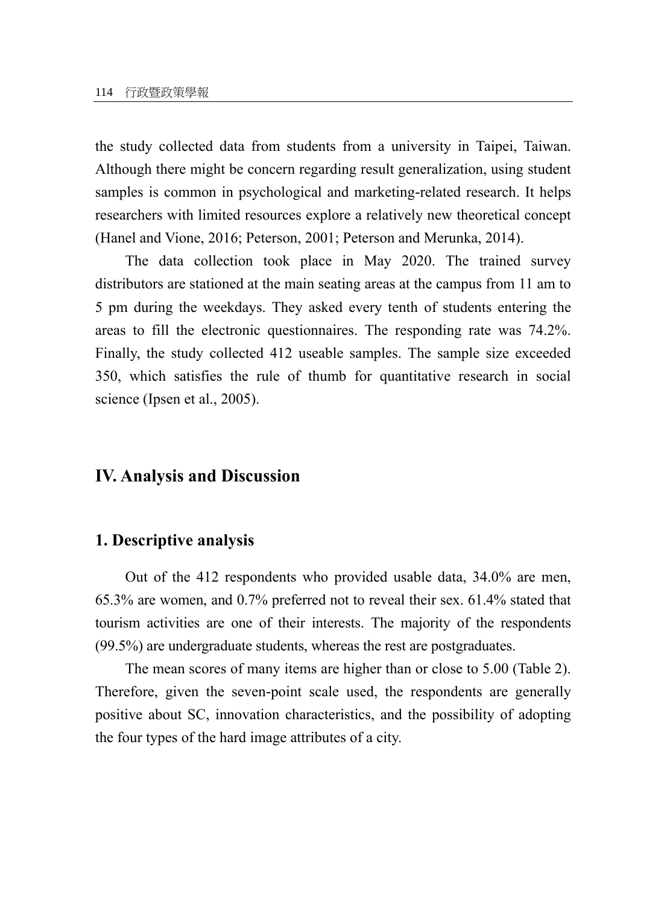the study collected data from students from a university in Taipei, Taiwan. Although there might be concern regarding result generalization, using student samples is common in psychological and marketing-related research. It helps researchers with limited resources explore a relatively new theoretical concept (Hanel and Vione, 2016; Peterson, 2001; Peterson and Merunka, 2014).

The data collection took place in May 2020. The trained survey distributors are stationed at the main seating areas at the campus from 11 am to 5 pm during the weekdays. They asked every tenth of students entering the areas to fill the electronic questionnaires. The responding rate was 74.2%. Finally, the study collected 412 useable samples. The sample size exceeded 350, which satisfies the rule of thumb for quantitative research in social science (Ipsen et al., 2005).

## **IV. Analysis and Discussion**

#### **1. Descriptive analysis**

Out of the 412 respondents who provided usable data, 34.0% are men, 65.3% are women, and 0.7% preferred not to reveal their sex. 61.4% stated that tourism activities are one of their interests. The majority of the respondents (99.5%) are undergraduate students, whereas the rest are postgraduates.

The mean scores of many items are higher than or close to 5.00 (Table 2). Therefore, given the seven-point scale used, the respondents are generally positive about SC, innovation characteristics, and the possibility of adopting the four types of the hard image attributes of a city.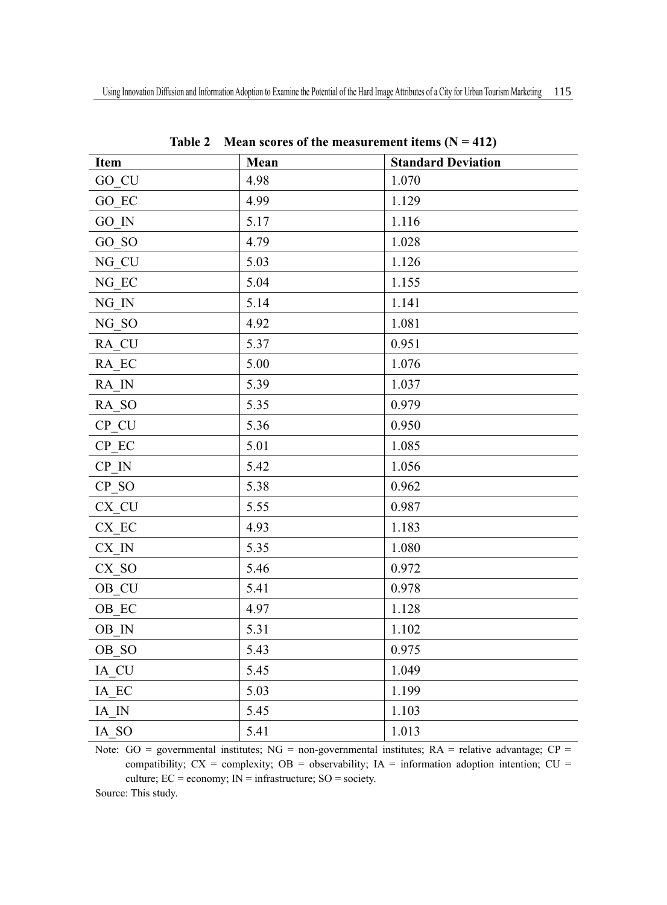| Item                | Mean | <b>Standard Deviation</b> |
|---------------------|------|---------------------------|
| GO CU               | 4.98 | 1.070                     |
| GO EC               | 4.99 | 1.129                     |
| GO IN               | 5.17 | 1.116                     |
| GO SO               | 4.79 | 1.028                     |
| NG CU               | 5.03 | 1.126                     |
| NG EC               | 5.04 | 1.155                     |
| NG IN               | 5.14 | 1.141                     |
| NG <sub>SO</sub>    | 4.92 | 1.081                     |
| RA CU               | 5.37 | 0.951                     |
| RA EC               | 5.00 | 1.076                     |
| RA IN               | 5.39 | 1.037                     |
| RA SO               | 5.35 | 0.979                     |
| $CP$ <sub>_CU</sub> | 5.36 | 0.950                     |
| $CP$ $EC$           | 5.01 | 1.085                     |
| CP IN               | 5.42 | 1.056                     |
| CP SO               | 5.38 | 0.962                     |
| $CX$ <sub>_CU</sub> | 5.55 | 0.987                     |
| CX EC               | 4.93 | 1.183                     |
| $CX$ IN             | 5.35 | 1.080                     |
| CX SO               | 5.46 | 0.972                     |
| OB CU               | 5.41 | 0.978                     |
| OB EC               | 4.97 | 1.128                     |
| $\rm OB\;$ IN       | 5.31 | 1.102                     |
| OB SO               | 5.43 | 0.975                     |
| IA CU               | 5.45 | 1.049                     |
| IA EC               | 5.03 | 1.199                     |
| IA IN               | 5.45 | 1.103                     |
| IA SO               | 5.41 | 1.013                     |
|                     |      |                           |

Table 2 Mean scores of the measurement items  $(N = 412)$ 

Note:  $GO = governmental$  institutes;  $NG = non-governmental$  institutes;  $RA = relative advantage$ ;  $CP =$ compatibility;  $CX =$  complexity;  $OB =$  observability;  $IA =$  information adoption intention;  $CU =$ culture;  $EC = economy$ ;  $IN = infrastructure$ ;  $SO = society$ .

Source: This study.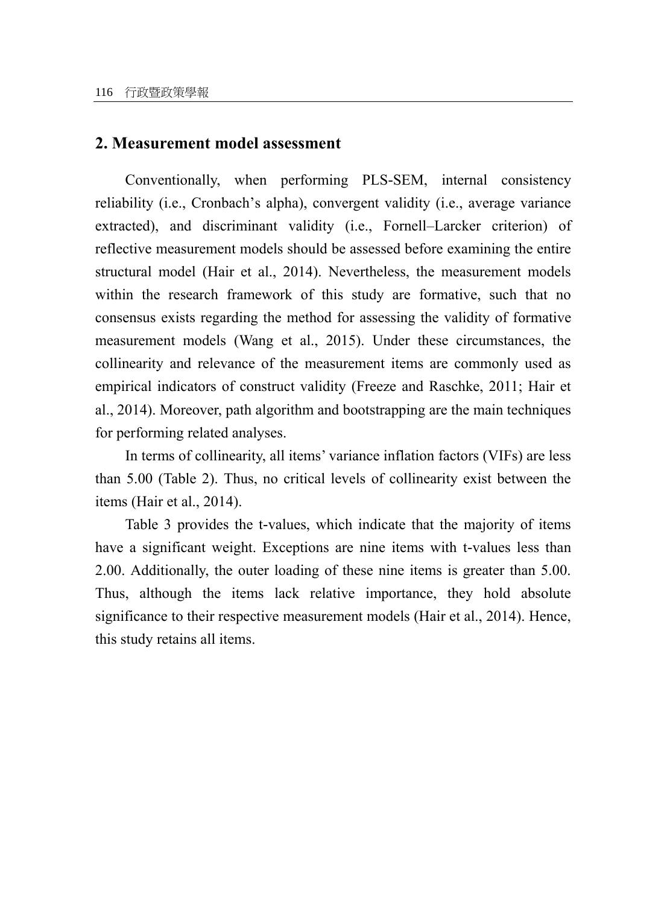#### **2. Measurement model assessment**

Conventionally, when performing PLS-SEM, internal consistency reliability (i.e., Cronbach's alpha), convergent validity (i.e., average variance extracted), and discriminant validity (i.e., Fornell–Larcker criterion) of reflective measurement models should be assessed before examining the entire structural model (Hair et al., 2014). Nevertheless, the measurement models within the research framework of this study are formative, such that no consensus exists regarding the method for assessing the validity of formative measurement models (Wang et al., 2015). Under these circumstances, the collinearity and relevance of the measurement items are commonly used as empirical indicators of construct validity (Freeze and Raschke, 2011; Hair et al., 2014). Moreover, path algorithm and bootstrapping are the main techniques for performing related analyses.

In terms of collinearity, all items' variance inflation factors (VIFs) are less than 5.00 (Table 2). Thus, no critical levels of collinearity exist between the items (Hair et al., 2014).

Table 3 provides the t-values, which indicate that the majority of items have a significant weight. Exceptions are nine items with t-values less than 2.00. Additionally, the outer loading of these nine items is greater than 5.00. Thus, although the items lack relative importance, they hold absolute significance to their respective measurement models (Hair et al., 2014). Hence, this study retains all items.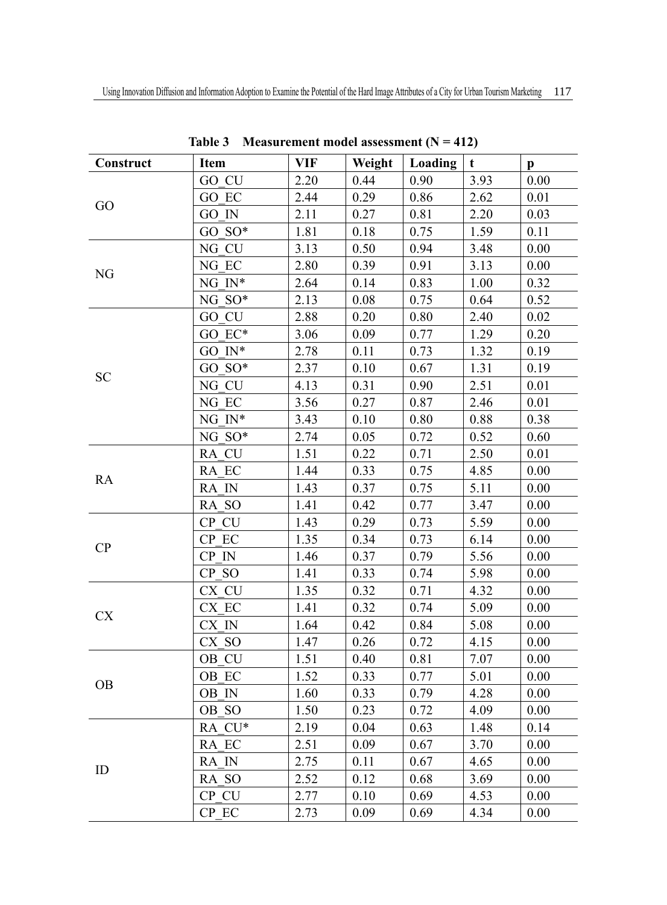| Construct | <b>Item</b>                  | VIF  | Weight | Loading      | t    |                      |
|-----------|------------------------------|------|--------|--------------|------|----------------------|
|           | GO CU                        | 2.20 | 0.44   | 0.90         | 3.93 | $\mathbf{p}$<br>0.00 |
|           | GO EC                        | 2.44 | 0.29   | 0.86         | 2.62 | 0.01                 |
| GO        | GO IN                        | 2.11 | 0.27   | 0.81         | 2.20 | 0.03                 |
|           | $GO$ $SO^*$                  | 1.81 | 0.18   | 0.75         | 1.59 | 0.11                 |
|           | NG CU                        | 3.13 | 0.50   | 0.94         | 3.48 | 0.00                 |
|           | NG EC                        | 2.80 | 0.39   | 0.91         | 3.13 | 0.00                 |
| NG        | NG $IN^*$                    | 2.64 | 0.14   | 0.83         | 1.00 | 0.32                 |
|           | NG SO*                       | 2.13 | 0.08   | 0.75         | 0.64 | 0.52                 |
|           | GO CU                        | 2.88 | 0.20   | 0.80         | 2.40 | 0.02                 |
|           | GO EC*                       | 3.06 | 0.09   | 0.77         | 1.29 | 0.20                 |
|           | $GOIN^*$                     | 2.78 |        |              |      |                      |
|           | $GO$ $SO^*$                  |      | 0.11   | 0.73         | 1.32 | 0.19                 |
| <b>SC</b> | NG CU                        | 2.37 | 0.10   | 0.67<br>0.90 | 1.31 | 0.19                 |
|           |                              | 4.13 | 0.31   |              | 2.51 | 0.01                 |
|           | NG EC                        | 3.56 | 0.27   | 0.87         | 2.46 | 0.01                 |
|           | NG $\, {\rm I} \! {\rm N}^*$ | 3.43 | 0.10   | 0.80         | 0.88 | 0.38                 |
|           | NG SO*                       | 2.74 | 0.05   | 0.72         | 0.52 | 0.60                 |
|           | RA CU                        | 1.51 | 0.22   | 0.71         | 2.50 | 0.01                 |
| RA        | RA EC                        | 1.44 | 0.33   | 0.75         | 4.85 | 0.00                 |
|           | RA IN                        | 1.43 | 0.37   | 0.75         | 5.11 | 0.00                 |
|           | RA SO                        | 1.41 | 0.42   | 0.77         | 3.47 | 0.00                 |
|           | CP CU                        | 1.43 | 0.29   | 0.73         | 5.59 | 0.00                 |
| CP        | CP EC                        | 1.35 | 0.34   | 0.73         | 6.14 | 0.00                 |
|           | CP IN                        | 1.46 | 0.37   | 0.79         | 5.56 | 0.00                 |
|           | CP SO                        | 1.41 | 0.33   | 0.74         | 5.98 | 0.00                 |
|           | CX CU                        | 1.35 | 0.32   | 0.71         | 4.32 | 0.00                 |
| CX        | CX EC                        | 1.41 | 0.32   | 0.74         | 5.09 | 0.00                 |
|           | CX IN                        | 1.64 | 0.42   | 0.84         | 5.08 | 0.00                 |
|           | CX SO                        | 1.47 | 0.26   | 0.72         | 4.15 | 0.00                 |
|           | OB CU                        | 1.51 | 0.40   | 0.81         | 7.07 | 0.00                 |
| <b>OB</b> | OB EC                        | 1.52 | 0.33   | 0.77         | 5.01 | 0.00                 |
|           | OB IN                        | 1.60 | 0.33   | 0.79         | 4.28 | 0.00                 |
|           | OB SO                        | 1.50 | 0.23   | 0.72         | 4.09 | 0.00                 |
|           | RA CU*                       | 2.19 | 0.04   | 0.63         | 1.48 | 0.14                 |
|           | RA EC                        | 2.51 | 0.09   | 0.67         | 3.70 | 0.00                 |
| ID        | RA IN                        | 2.75 | 0.11   | 0.67         | 4.65 | 0.00                 |
|           | RA SO                        | 2.52 | 0.12   | 0.68         | 3.69 | 0.00                 |
|           | CP CU                        | 2.77 | 0.10   | 0.69         | 4.53 | 0.00                 |
|           | CP EC                        | 2.73 | 0.09   | 0.69         | 4.34 | 0.00                 |

**Table 3 Measurement model assessment (N = 412)**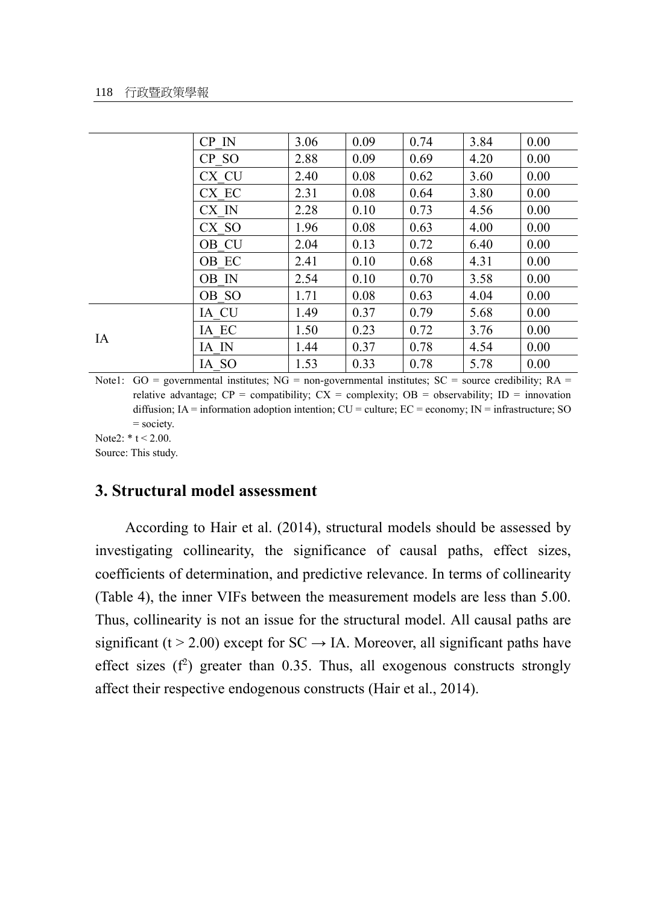|    | CP IN | 3.06 | 0.09 | 0.74 | 3.84 | 0.00 |
|----|-------|------|------|------|------|------|
|    | CP SO | 2.88 | 0.09 | 0.69 | 4.20 | 0.00 |
|    | CX CU | 2.40 | 0.08 | 0.62 | 3.60 | 0.00 |
|    | CX EC | 2.31 | 0.08 | 0.64 | 3.80 | 0.00 |
|    | CX IN | 2.28 | 0.10 | 0.73 | 4.56 | 0.00 |
|    | CX SO | 1.96 | 0.08 | 0.63 | 4.00 | 0.00 |
|    | OB CU | 2.04 | 0.13 | 0.72 | 6.40 | 0.00 |
|    | OB EC | 2.41 | 0.10 | 0.68 | 4.31 | 0.00 |
|    | OB IN | 2.54 | 0.10 | 0.70 | 3.58 | 0.00 |
|    | OB SO | 1.71 | 0.08 | 0.63 | 4.04 | 0.00 |
|    | IA CU | 1.49 | 0.37 | 0.79 | 5.68 | 0.00 |
| IA | IA EC | 1.50 | 0.23 | 0.72 | 3.76 | 0.00 |
|    | IA IN | 1.44 | 0.37 | 0.78 | 4.54 | 0.00 |
|    | IA SO | 1.53 | 0.33 | 0.78 | 5.78 | 0.00 |

Note1:  $GO =$  governmental institutes;  $NG =$  non-governmental institutes;  $SC =$  source credibility;  $RA =$ relative advantage;  $CP =$  compatibility;  $CX =$  complexity;  $OB =$  observability;  $ID =$  innovation diffusion; IA = information adoption intention; CU = culture; EC = economy; IN = infrastructure; SO = society.

Note2:  $*$  t < 2.00. Source: This study.

### **3. Structural model assessment**

According to Hair et al. (2014), structural models should be assessed by investigating collinearity, the significance of causal paths, effect sizes, coefficients of determination, and predictive relevance. In terms of collinearity (Table 4), the inner VIFs between the measurement models are less than 5.00. Thus, collinearity is not an issue for the structural model. All causal paths are significant (t > 2.00) except for  $SC \rightarrow IA$ . Moreover, all significant paths have effect sizes  $(f^2)$  greater than 0.35. Thus, all exogenous constructs strongly affect their respective endogenous constructs (Hair et al., 2014).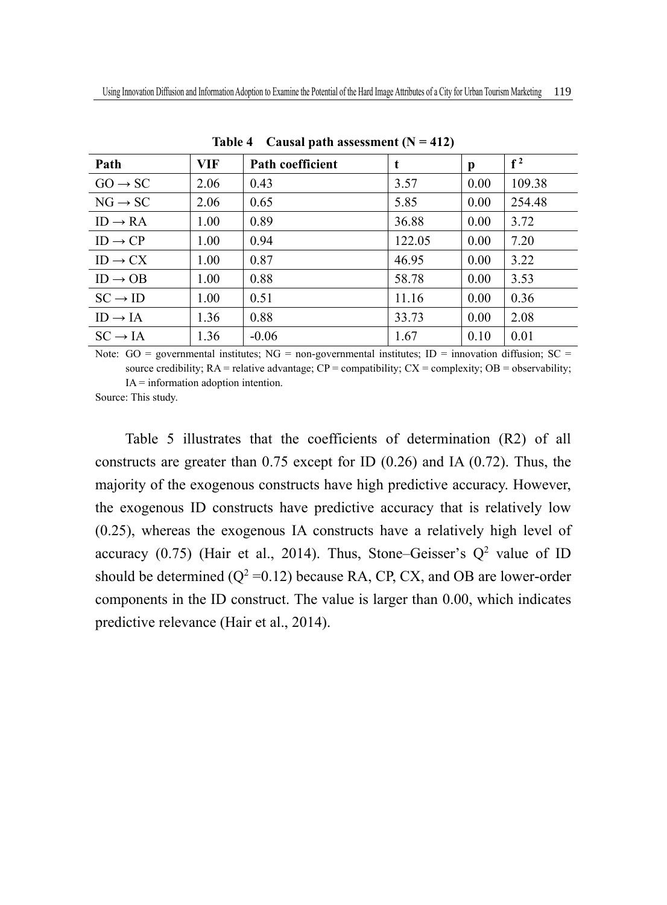| Path                | VIF  | Path coefficient | t      | p    | $f^2$  |
|---------------------|------|------------------|--------|------|--------|
| $GO \rightarrow SC$ | 2.06 | 0.43             | 3.57   | 0.00 | 109.38 |
| $NG \rightarrow SC$ | 2.06 | 0.65             | 5.85   | 0.00 | 254.48 |
| $ID \rightarrow RA$ | 1.00 | 0.89             | 36.88  | 0.00 | 3.72   |
| $ID \rightarrow CP$ | 1.00 | 0.94             | 122.05 | 0.00 | 7.20   |
| $ID \rightarrow CX$ | 1.00 | 0.87             | 46.95  | 0.00 | 3.22   |
| $ID \rightarrow OB$ | 1.00 | 0.88             | 58.78  | 0.00 | 3.53   |
| $SC \rightarrow ID$ | 1.00 | 0.51             | 11.16  | 0.00 | 0.36   |
| $ID \rightarrow IA$ | 1.36 | 0.88             | 33.73  | 0.00 | 2.08   |
| $SC \rightarrow IA$ | 1.36 | $-0.06$          | 1.67   | 0.10 | 0.01   |

Table 4 Causal path assessment  $(N = 412)$ 

Note:  $GO =$  governmental institutes;  $NG =$  non-governmental institutes;  $ID =$  innovation diffusion:  $SC =$ source credibility;  $RA$  = relative advantage;  $CP$  = compatibility;  $CX$  = complexity;  $OB$  = observability;

IA = information adoption intention. Source: This study.

Table 5 illustrates that the coefficients of determination (R2) of all constructs are greater than  $0.75$  except for ID  $(0.26)$  and IA  $(0.72)$ . Thus, the majority of the exogenous constructs have high predictive accuracy. However, the exogenous ID constructs have predictive accuracy that is relatively low (0.25), whereas the exogenous IA constructs have a relatively high level of accuracy  $(0.75)$  (Hair et al., 2014). Thus, Stone–Geisser's  $Q^2$  value of ID should be determined ( $Q^2$  =0.12) because RA, CP, CX, and OB are lower-order components in the ID construct. The value is larger than 0.00, which indicates predictive relevance (Hair et al., 2014).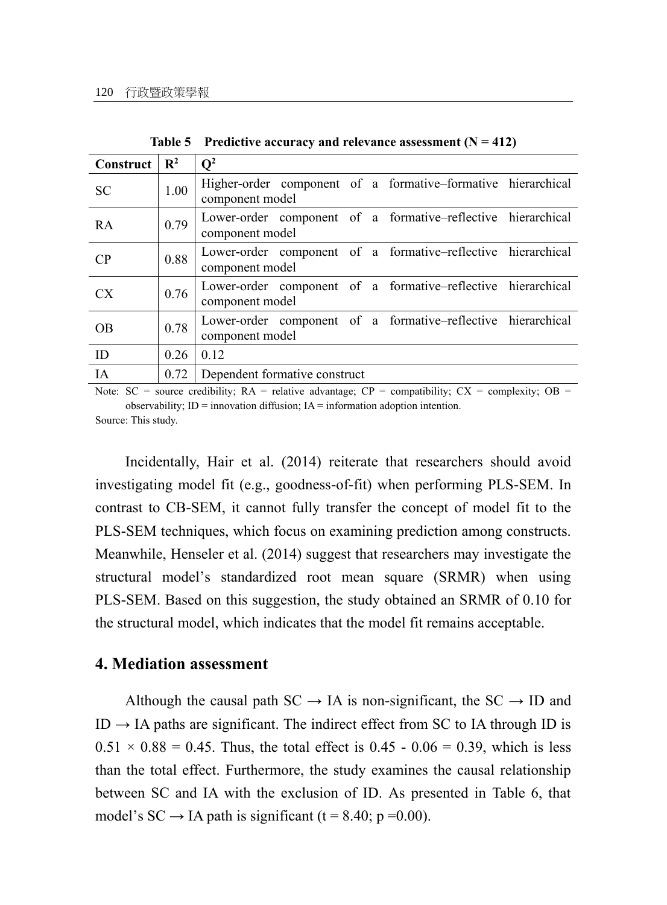| Construct       | $\mathbf{R}^2$ | $\mathbf{O}^2$                                                                  |
|-----------------|----------------|---------------------------------------------------------------------------------|
| <b>SC</b>       | 1.00           | Higher-order component of a formative-formative hierarchical<br>component model |
| <b>RA</b>       | 0.79           | Lower-order component of a formative-reflective hierarchical<br>component model |
| CP              | 0.88           | Lower-order component of a formative-reflective hierarchical<br>component model |
| CX <sup>-</sup> | 0.76           | Lower-order component of a formative-reflective hierarchical<br>component model |
| OB              | 0.78           | Lower-order component of a formative-reflective hierarchical<br>component model |
| ID              | 0.26           | 0.12                                                                            |
| ĪΑ              | 0.72           | Dependent formative construct                                                   |

**Table 5 Predictive accuracy and relevance assessment (N = 412)**

Note:  $SC = source credibility$ ;  $RA = relative advantage$ ;  $CP = compatibility$ ;  $CX = complexity$ ;  $OB =$ observability;  $ID =$  innovation diffusion;  $IA =$  information adoption intention.

Source: This study.

Incidentally, Hair et al. (2014) reiterate that researchers should avoid investigating model fit (e.g., goodness-of-fit) when performing PLS-SEM. In contrast to CB-SEM, it cannot fully transfer the concept of model fit to the PLS-SEM techniques, which focus on examining prediction among constructs. Meanwhile, Henseler et al. (2014) suggest that researchers may investigate the structural model's standardized root mean square (SRMR) when using PLS-SEM. Based on this suggestion, the study obtained an SRMR of 0.10 for the structural model, which indicates that the model fit remains acceptable.

#### **4. Mediation assessment**

Although the causal path  $SC \rightarrow IA$  is non-significant, the  $SC \rightarrow ID$  and  $ID \rightarrow IA$  paths are significant. The indirect effect from SC to IA through ID is  $0.51 \times 0.88 = 0.45$ . Thus, the total effect is  $0.45 - 0.06 = 0.39$ , which is less than the total effect. Furthermore, the study examines the causal relationship between SC and IA with the exclusion of ID. As presented in Table 6, that model's SC  $\rightarrow$  IA path is significant (t = 8.40; p = 0.00).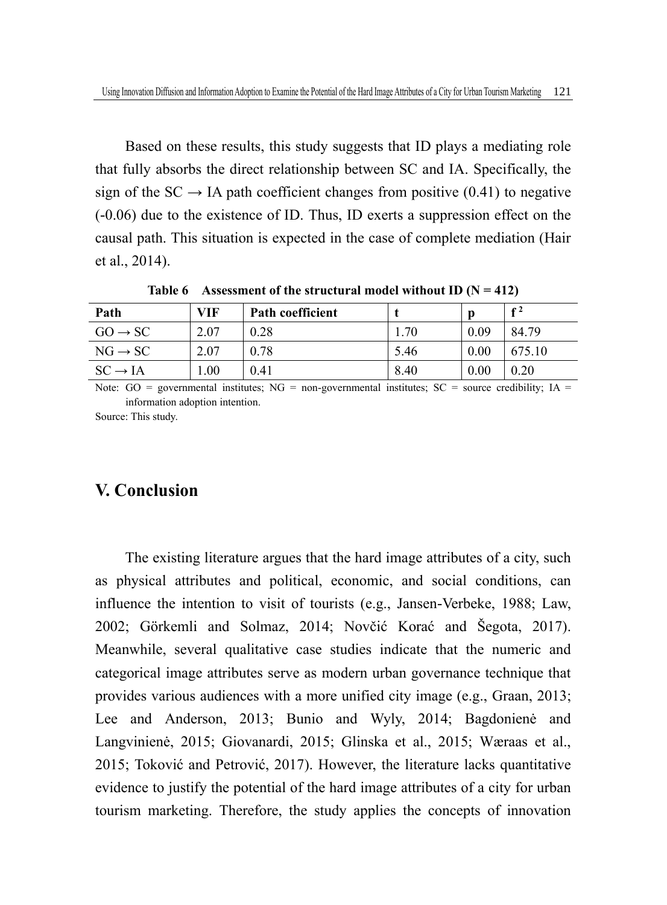Based on these results, this study suggests that ID plays a mediating role that fully absorbs the direct relationship between SC and IA. Specifically, the sign of the  $SC \rightarrow IA$  path coefficient changes from positive (0.41) to negative (-0.06) due to the existence of ID. Thus, ID exerts a suppression effect on the causal path. This situation is expected in the case of complete mediation (Hair et al., 2014).

Table 6 Assessment of the structural model without ID  $(N = 412)$ 

| Path                | VIF  | <b>Path coefficient</b> |      | p    | $f^2$  |
|---------------------|------|-------------------------|------|------|--------|
| $GO \rightarrow SC$ | 2.07 | 0.28                    | 1.70 | 0.09 | 84.79  |
| $NG \rightarrow SC$ | 2.07 | 0.78                    | 5.46 | 0.00 | 675.10 |
| $SC \rightarrow IA$ | .00. | 0.41                    | 8.40 | 0.00 | 0.20   |

Note:  $GO = governmental$  institutes;  $NG = non-gevermented$  institutes;  $SC = source credibility$ ;  $IA =$ information adoption intention.

Source: This study.

# **V. Conclusion**

The existing literature argues that the hard image attributes of a city, such as physical attributes and political, economic, and social conditions, can influence the intention to visit of tourists (e.g., Jansen-Verbeke, 1988; Law, 2002; Görkemli and Solmaz, 2014; Novčić Korać and Šegota, 2017). Meanwhile, several qualitative case studies indicate that the numeric and categorical image attributes serve as modern urban governance technique that provides various audiences with a more unified city image (e.g., Graan, 2013; Lee and Anderson, 2013; Bunio and Wyly, 2014; Bagdonienė and Langvinienė, 2015; Giovanardi, 2015; Glinska et al., 2015; Wæraas et al., 2015; Toković and Petrović, 2017). However, the literature lacks quantitative evidence to justify the potential of the hard image attributes of a city for urban tourism marketing. Therefore, the study applies the concepts of innovation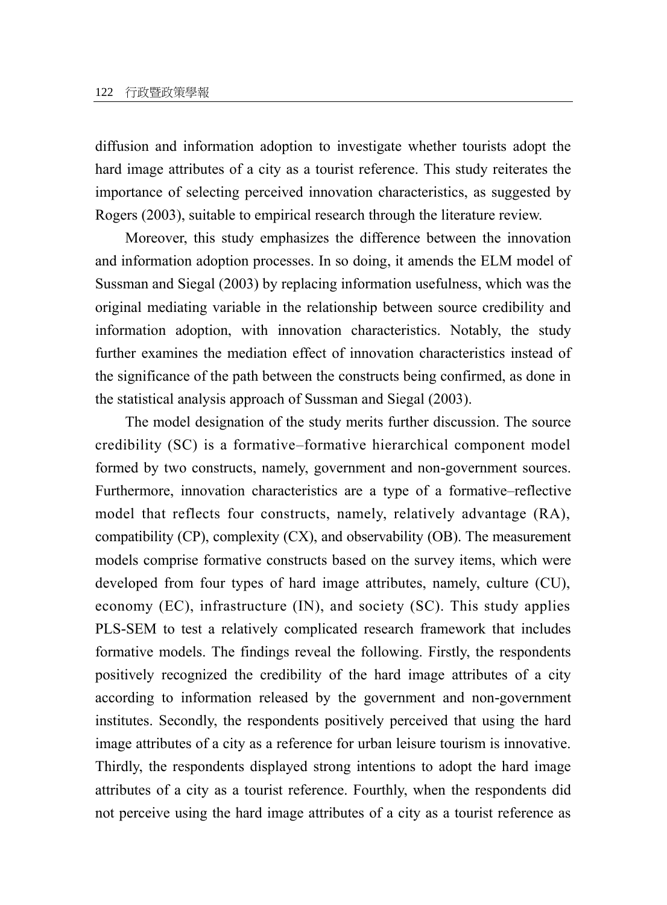diffusion and information adoption to investigate whether tourists adopt the hard image attributes of a city as a tourist reference. This study reiterates the importance of selecting perceived innovation characteristics, as suggested by Rogers (2003), suitable to empirical research through the literature review.

Moreover, this study emphasizes the difference between the innovation and information adoption processes. In so doing, it amends the ELM model of Sussman and Siegal (2003) by replacing information usefulness, which was the original mediating variable in the relationship between source credibility and information adoption, with innovation characteristics. Notably, the study further examines the mediation effect of innovation characteristics instead of the significance of the path between the constructs being confirmed, as done in the statistical analysis approach of Sussman and Siegal (2003).

The model designation of the study merits further discussion. The source credibility (SC) is a formative–formative hierarchical component model formed by two constructs, namely, government and non-government sources. Furthermore, innovation characteristics are a type of a formative–reflective model that reflects four constructs, namely, relatively advantage (RA), compatibility (CP), complexity (CX), and observability (OB). The measurement models comprise formative constructs based on the survey items, which were developed from four types of hard image attributes, namely, culture (CU), economy (EC), infrastructure (IN), and society (SC). This study applies PLS-SEM to test a relatively complicated research framework that includes formative models. The findings reveal the following. Firstly, the respondents positively recognized the credibility of the hard image attributes of a city according to information released by the government and non-government institutes. Secondly, the respondents positively perceived that using the hard image attributes of a city as a reference for urban leisure tourism is innovative. Thirdly, the respondents displayed strong intentions to adopt the hard image attributes of a city as a tourist reference. Fourthly, when the respondents did not perceive using the hard image attributes of a city as a tourist reference as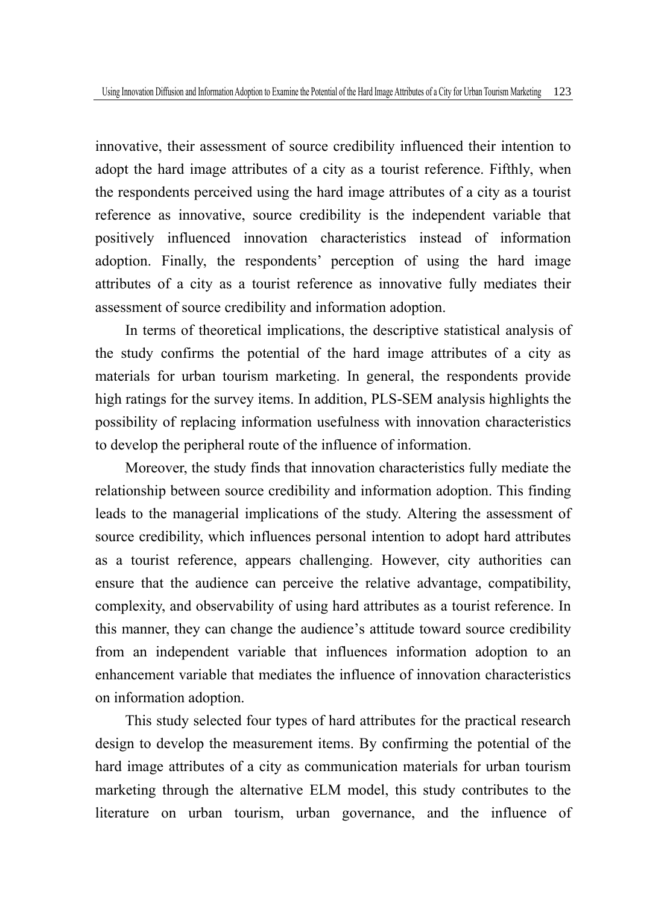innovative, their assessment of source credibility influenced their intention to adopt the hard image attributes of a city as a tourist reference. Fifthly, when the respondents perceived using the hard image attributes of a city as a tourist reference as innovative, source credibility is the independent variable that positively influenced innovation characteristics instead of information adoption. Finally, the respondents' perception of using the hard image attributes of a city as a tourist reference as innovative fully mediates their assessment of source credibility and information adoption.

In terms of theoretical implications, the descriptive statistical analysis of the study confirms the potential of the hard image attributes of a city as materials for urban tourism marketing. In general, the respondents provide high ratings for the survey items. In addition, PLS-SEM analysis highlights the possibility of replacing information usefulness with innovation characteristics to develop the peripheral route of the influence of information.

Moreover, the study finds that innovation characteristics fully mediate the relationship between source credibility and information adoption. This finding leads to the managerial implications of the study. Altering the assessment of source credibility, which influences personal intention to adopt hard attributes as a tourist reference, appears challenging. However, city authorities can ensure that the audience can perceive the relative advantage, compatibility, complexity, and observability of using hard attributes as a tourist reference. In this manner, they can change the audience's attitude toward source credibility from an independent variable that influences information adoption to an enhancement variable that mediates the influence of innovation characteristics on information adoption.

This study selected four types of hard attributes for the practical research design to develop the measurement items. By confirming the potential of the hard image attributes of a city as communication materials for urban tourism marketing through the alternative ELM model, this study contributes to the literature on urban tourism, urban governance, and the influence of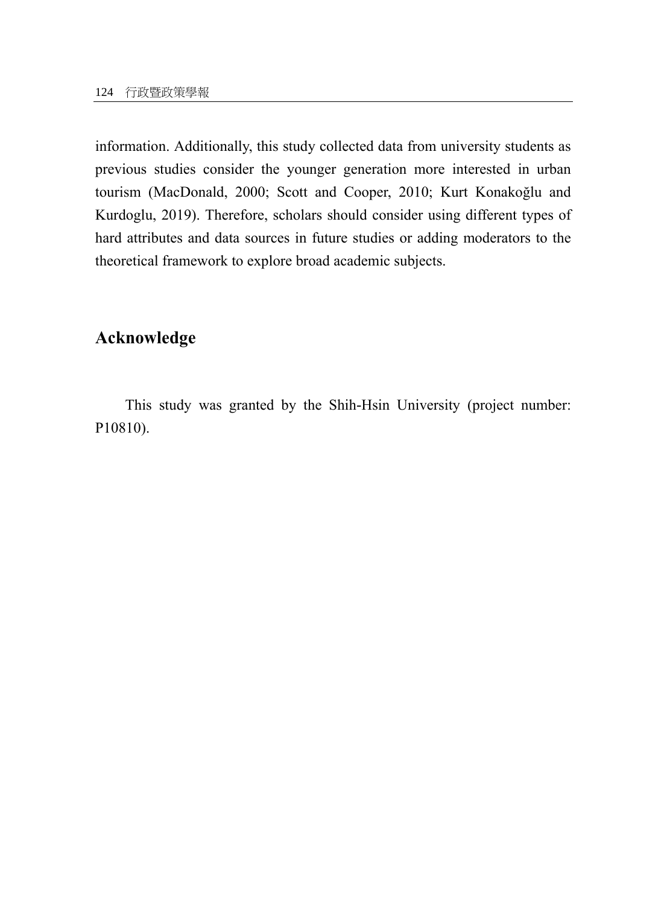information. Additionally, this study collected data from university students as previous studies consider the younger generation more interested in urban tourism (MacDonald, 2000; Scott and Cooper, 2010; Kurt Konakoğlu and Kurdoglu, 2019). Therefore, scholars should consider using different types of hard attributes and data sources in future studies or adding moderators to the theoretical framework to explore broad academic subjects.

## **Acknowledge**

This study was granted by the Shih-Hsin University (project number: P10810).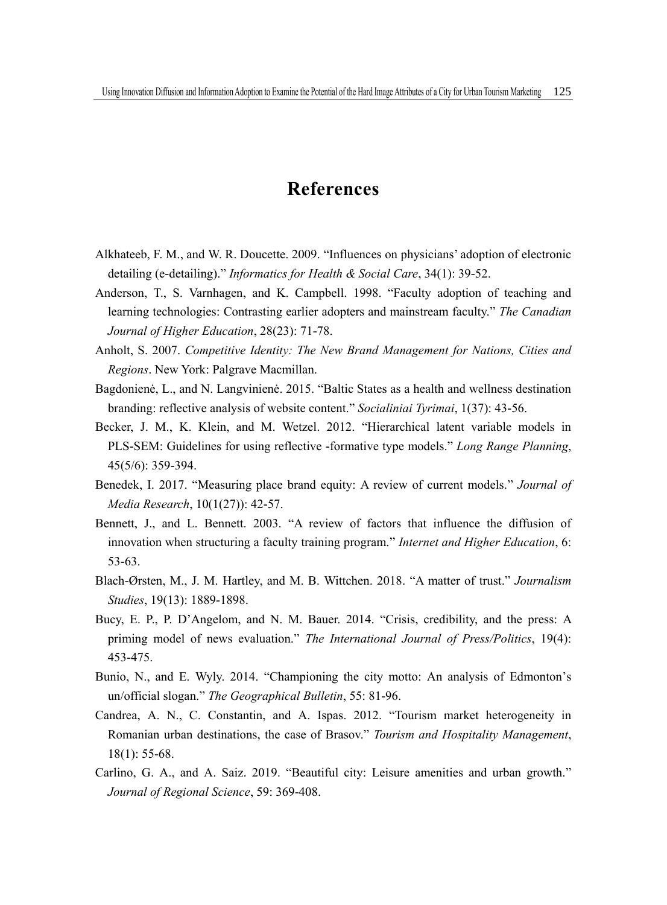# **References**

- Alkhateeb, F. M., and W. R. Doucette. 2009. "Influences on physicians' adoption of electronic detailing (e-detailing)." *Informatics for Health & Social Care*, 34(1): 39-52.
- Anderson, T., S. Varnhagen, and K. Campbell. 1998. "Faculty adoption of teaching and learning technologies: Contrasting earlier adopters and mainstream faculty." *The Canadian Journal of Higher Education*, 28(23): 71-78.
- Anholt, S. 2007. *Competitive Identity: The New Brand Management for Nations, Cities and Regions*. New York: Palgrave Macmillan.
- Bagdonienė, L., and N. Langvinienė. 2015. "Baltic States as a health and wellness destination branding: reflective analysis of website content." *Socialiniai Tyrimai*, 1(37): 43-56.
- Becker, J. M., K. Klein, and M. Wetzel. 2012. "Hierarchical latent variable models in PLS-SEM: Guidelines for using reflective -formative type models." *Long Range Planning*, 45(5/6): 359-394.
- Benedek, I. 2017. "Measuring place brand equity: A review of current models." *Journal of Media Research*, 10(1(27)): 42-57.
- Bennett, J., and L. Bennett. 2003. "A review of factors that influence the diffusion of innovation when structuring a faculty training program." *Internet and Higher Education*, 6: 53-63.
- Blach-Ørsten, M., J. M. Hartley, and M. B. Wittchen. 2018. "A matter of trust." *Journalism Studies*, 19(13): 1889-1898.
- Bucy, E. P., P. D'Angelom, and N. M. Bauer. 2014. "Crisis, credibility, and the press: A priming model of news evaluation." *The International Journal of Press/Politics*, 19(4): 453-475.
- Bunio, N., and E. Wyly. 2014. "Championing the city motto: An analysis of Edmonton's un/official slogan." *The Geographical Bulletin*, 55: 81-96.
- Candrea, A. N., C. Constantin, and A. Ispas. 2012. "Tourism market heterogeneity in Romanian urban destinations, the case of Brasov." *Tourism and Hospitality Management*, 18(1): 55-68.
- Carlino, G. A., and A. Saiz. 2019. "Beautiful city: Leisure amenities and urban growth." *Journal of Regional Science*, 59: 369-408.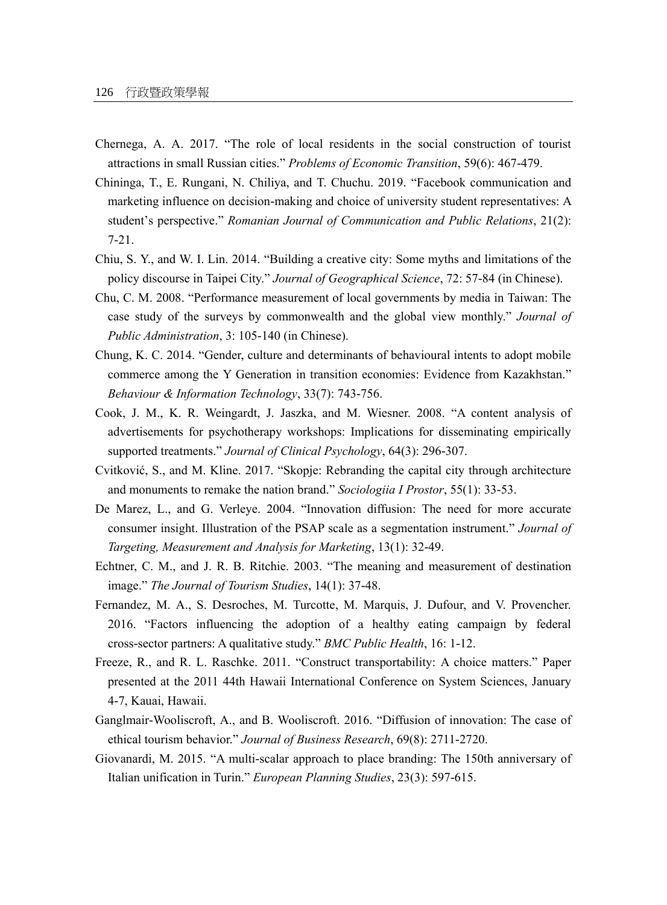- Chernega, A. A. 2017. "The role of local residents in the social construction of tourist attractions in small Russian cities." *Problems of Economic Transition*, 59(6): 467-479.
- Chininga, T., E. Rungani, N. Chiliya, and T. Chuchu. 2019. "Facebook communication and marketing influence on decision-making and choice of university student representatives: A student's perspective." *Romanian Journal of Communication and Public Relations*, 21(2): 7-21.
- Chiu, S. Y., and W. I. Lin. 2014. "Building a creative city: Some myths and limitations of the policy discourse in Taipei City." *Journal of Geographical Science*, 72: 57-84 (in Chinese).
- Chu, C. M. 2008. "Performance measurement of local governments by media in Taiwan: The case study of the surveys by commonwealth and the global view monthly." *Journal of Public Administration*, 3: 105-140 (in Chinese).
- Chung, K. C. 2014. "Gender, culture and determinants of behavioural intents to adopt mobile commerce among the Y Generation in transition economies: Evidence from Kazakhstan." *Behaviour & Information Technology*, 33(7): 743-756.
- Cook, J. M., K. R. Weingardt, J. Jaszka, and M. Wiesner. 2008. "A content analysis of advertisements for psychotherapy workshops: Implications for disseminating empirically supported treatments." *Journal of Clinical Psychology*, 64(3): 296-307.
- Cvitković, S., and M. Kline. 2017. "Skopje: Rebranding the capital city through architecture and monuments to remake the nation brand." *Sociologiia I Prostor*, 55(1): 33-53.
- De Marez, L., and G. Verleye. 2004. "Innovation diffusion: The need for more accurate consumer insight. Illustration of the PSAP scale as a segmentation instrument." *Journal of Targeting, Measurement and Analysis for Marketing*, 13(1): 32-49.
- Echtner, C. M., and J. R. B. Ritchie. 2003. "The meaning and measurement of destination image." *The Journal of Tourism Studies*, 14(1): 37-48.
- Fernandez, M. A., S. Desroches, M. Turcotte, M. Marquis, J. Dufour, and V. Provencher. 2016. "Factors influencing the adoption of a healthy eating campaign by federal cross-sector partners: A qualitative study." *BMC Public Health*, 16: 1-12.
- Freeze, R., and R. L. Raschke. 2011. "Construct transportability: A choice matters." Paper presented at the 2011 44th Hawaii International Conference on System Sciences, January 4-7, Kauai, Hawaii.
- Ganglmair-Wooliscroft, A., and B. Wooliscroft. 2016. "Diffusion of innovation: The case of ethical tourism behavior." *Journal of Business Research*, 69(8): 2711-2720.
- Giovanardi, M. 2015. "A multi-scalar approach to place branding: The 150th anniversary of Italian unification in Turin." *European Planning Studies*, 23(3): 597-615.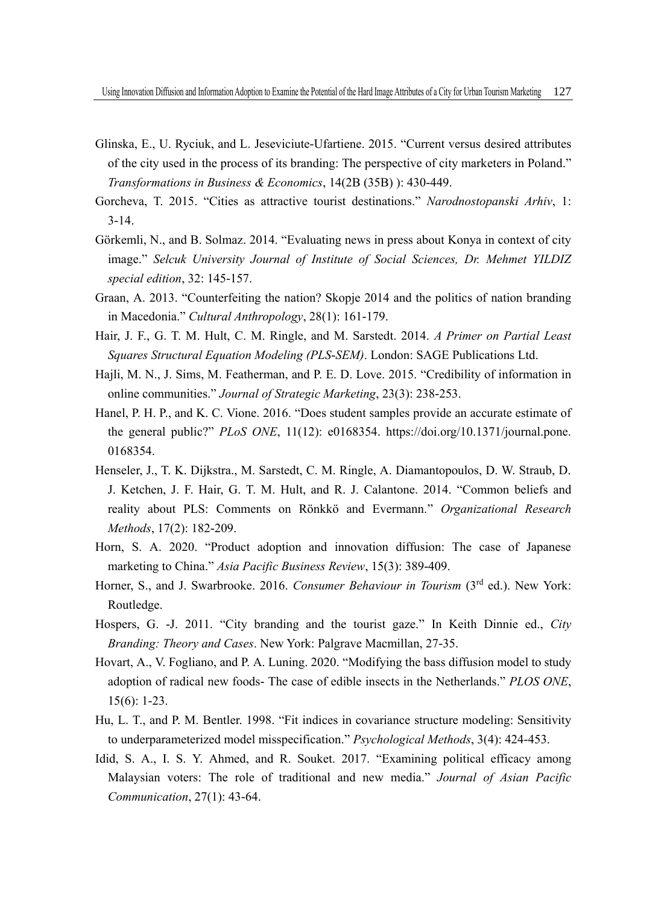- Glinska, E., U. Ryciuk, and L. Jeseviciute-Ufartiene. 2015. "Current versus desired attributes of the city used in the process of its branding: The perspective of city marketers in Poland." *Transformations in Business & Economics*, 14(2B (35B) ): 430-449.
- Gorcheva, T. 2015. "Cities as attractive tourist destinations." *Narodnostopanski Arhiv*, 1: 3-14.
- Görkemli, N., and B. Solmaz. 2014. "Evaluating news in press about Konya in context of city image." *Selcuk University Journal of Institute of Social Sciences, Dr. Mehmet YILDIZ special edition*, 32: 145-157.
- Graan, A. 2013. "Counterfeiting the nation? Skopje 2014 and the politics of nation branding in Macedonia." *Cultural Anthropology*, 28(1): 161-179.
- Hair, J. F., G. T. M. Hult, C. M. Ringle, and M. Sarstedt. 2014. *A Primer on Partial Least Squares Structural Equation Modeling (PLS-SEM)*. London: SAGE Publications Ltd.
- Hajli, M. N., J. Sims, M. Featherman, and P. E. D. Love. 2015. "Credibility of information in online communities." *Journal of Strategic Marketing*, 23(3): 238-253.
- Hanel, P. H. P., and K. C. Vione. 2016. "Does student samples provide an accurate estimate of the general public?" *PLoS ONE*, 11(12): e0168354. https://doi.org/10.1371/journal.pone. 0168354.
- Henseler, J., T. K. Dijkstra., M. Sarstedt, C. M. Ringle, A. Diamantopoulos, D. W. Straub, D. J. Ketchen, J. F. Hair, G. T. M. Hult, and R. J. Calantone. 2014. "Common beliefs and reality about PLS: Comments on Rönkkö and Evermann." *Organizational Research Methods*, 17(2): 182-209.
- Horn, S. A. 2020. "Product adoption and innovation diffusion: The case of Japanese marketing to China." *Asia Pacific Business Review*, 15(3): 389-409.
- Horner, S., and J. Swarbrooke. 2016. *Consumer Behaviour in Tourism* (3rd ed.). New York: Routledge.
- Hospers, G. -J. 2011. "City branding and the tourist gaze." In Keith Dinnie ed., *City Branding: Theory and Cases*. New York: Palgrave Macmillan, 27-35.
- Hovart, A., V. Fogliano, and P. A. Luning. 2020. "Modifying the bass diffusion model to study adoption of radical new foods- The case of edible insects in the Netherlands." *PLOS ONE*, 15(6): 1-23.
- Hu, L. T., and P. M. Bentler. 1998. "Fit indices in covariance structure modeling: Sensitivity to underparameterized model misspecification." *Psychological Methods*, 3(4): 424-453.
- Idid, S. A., I. S. Y. Ahmed, and R. Souket. 2017. "Examining political efficacy among Malaysian voters: The role of traditional and new media." *Journal of Asian Pacific Communication*, 27(1): 43-64.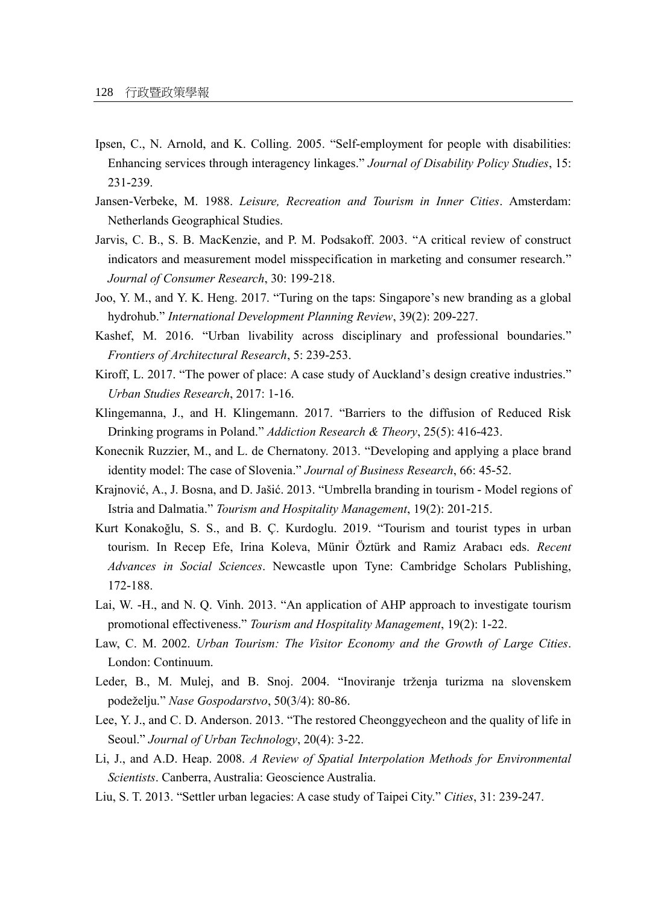- Ipsen, C., N. Arnold, and K. Colling. 2005. "Self-employment for people with disabilities: Enhancing services through interagency linkages." *Journal of Disability Policy Studies*, 15: 231-239.
- Jansen-Verbeke, M. 1988. *Leisure, Recreation and Tourism in Inner Cities*. Amsterdam: Netherlands Geographical Studies.
- Jarvis, C. B., S. B. MacKenzie, and P. M. Podsakoff. 2003. "A critical review of construct indicators and measurement model misspecification in marketing and consumer research." *Journal of Consumer Research*, 30: 199-218.
- Joo, Y. M., and Y. K. Heng. 2017. "Turing on the taps: Singapore's new branding as a global hydrohub." *International Development Planning Review*, 39(2): 209-227.
- Kashef, M. 2016. "Urban livability across disciplinary and professional boundaries." *Frontiers of Architectural Research*, 5: 239-253.
- Kiroff, L. 2017. "The power of place: A case study of Auckland's design creative industries." *Urban Studies Research*, 2017: 1-16.
- Klingemanna, J., and H. Klingemann. 2017. "Barriers to the diffusion of Reduced Risk Drinking programs in Poland." *Addiction Research & Theory*, 25(5): 416-423.
- Konecnik Ruzzier, M., and L. de Chernatony. 2013. "Developing and applying a place brand identity model: The case of Slovenia." *Journal of Business Research*, 66: 45-52.
- Krajnović, A., J. Bosna, and D. Jašić. 2013. "Umbrella branding in tourism Model regions of Istria and Dalmatia." *Tourism and Hospitality Management*, 19(2): 201-215.
- Kurt Konakoğlu, S. S., and B. Ç. Kurdoglu. 2019. "Tourism and tourist types in urban tourism. In Recep Efe, Irina Koleva, Münir Öztürk and Ramiz Arabacı eds. *Recent Advances in Social Sciences*. Newcastle upon Tyne: Cambridge Scholars Publishing, 172-188.
- Lai, W. -H., and N. Q. Vinh. 2013. "An application of AHP approach to investigate tourism promotional effectiveness." *Tourism and Hospitality Management*, 19(2): 1-22.
- Law, C. M. 2002. *Urban Tourism: The Visitor Economy and the Growth of Large Cities*. London: Continuum.
- Leder, B., M. Mulej, and B. Snoj. 2004. "Inoviranje trženja turizma na slovenskem podeželju." *Nase Gospodarstvo*, 50(3/4): 80-86.
- Lee, Y. J., and C. D. Anderson. 2013. "The restored Cheonggyecheon and the quality of life in Seoul." *Journal of Urban Technology*, 20(4): 3-22.
- Li, J., and A.D. Heap. 2008. *A Review of Spatial Interpolation Methods for Environmental Scientists*. Canberra, Australia: Geoscience Australia.
- Liu, S. T. 2013. "Settler urban legacies: A case study of Taipei City." *Cities*, 31: 239-247.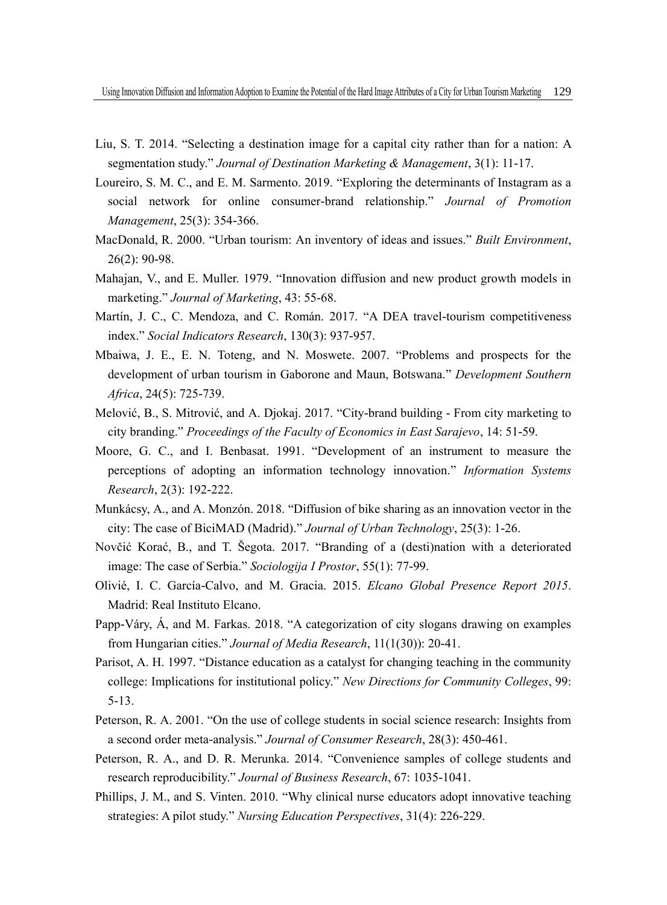- Liu, S. T. 2014. "Selecting a destination image for a capital city rather than for a nation: A segmentation study." *Journal of Destination Marketing & Management*, 3(1): 11-17.
- Loureiro, S. M. C., and E. M. Sarmento. 2019. "Exploring the determinants of Instagram as a social network for online consumer-brand relationship." *Journal of Promotion Management*, 25(3): 354-366.
- MacDonald, R. 2000. "Urban tourism: An inventory of ideas and issues." *Built Environment*, 26(2): 90-98.
- Mahajan, V., and E. Muller. 1979. "Innovation diffusion and new product growth models in marketing." *Journal of Marketing*, 43: 55-68.
- Martín, J. C., C. Mendoza, and C. Román. 2017. "A DEA travel-tourism competitiveness index." *Social Indicators Research*, 130(3): 937-957.
- Mbaiwa, J. E., E. N. Toteng, and N. Moswete. 2007. "Problems and prospects for the development of urban tourism in Gaborone and Maun, Botswana." *Development Southern Africa*, 24(5): 725-739.
- Melović, B., S. Mitrović, and A. Djokaj. 2017. "City-brand building From city marketing to city branding." *Proceedings of the Faculty of Economics in East Sarajevo*, 14: 51-59.
- Moore, G. C., and I. Benbasat. 1991. "Development of an instrument to measure the perceptions of adopting an information technology innovation." *Information Systems Research*, 2(3): 192-222.
- Munkácsy, A., and A. Monzón. 2018. "Diffusion of bike sharing as an innovation vector in the city: The case of BiciMAD (Madrid)." *Journal of Urban Technology*, 25(3): 1-26.
- Novčić Korać, B., and T. Šegota. 2017. "Branding of a (desti)nation with a deteriorated image: The case of Serbia." *Sociologija I Prostor*, 55(1): 77-99.
- Olivié, I. C. García-Calvo, and M. Gracia. 2015. *Elcano Global Presence Report 2015*. Madrid: Real Instituto Elcano.
- Papp-Váry, Á, and M. Farkas. 2018. "A categorization of city slogans drawing on examples from Hungarian cities." *Journal of Media Research*, 11(1(30)): 20-41.
- Parisot, A. H. 1997. "Distance education as a catalyst for changing teaching in the community college: Implications for institutional policy." *New Directions for Community Colleges*, 99: 5-13.
- Peterson, R. A. 2001. "On the use of college students in social science research: Insights from a second order meta-analysis." *Journal of Consumer Research*, 28(3): 450-461.
- Peterson, R. A., and D. R. Merunka. 2014. "Convenience samples of college students and research reproducibility." *Journal of Business Research*, 67: 1035-1041.
- Phillips, J. M., and S. Vinten. 2010. "Why clinical nurse educators adopt innovative teaching strategies: A pilot study." *Nursing Education Perspectives*, 31(4): 226-229.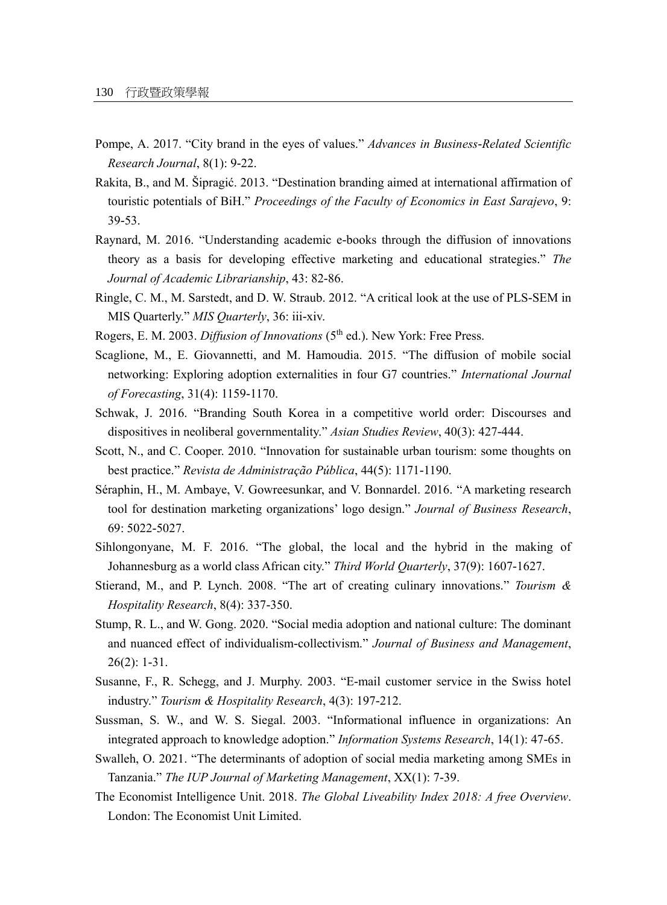- Pompe, A. 2017. "City brand in the eyes of values." *Advances in Business-Related Scientific Research Journal*, 8(1): 9-22.
- Rakita, B., and M. Šipragić. 2013. "Destination branding aimed at international affirmation of touristic potentials of BiH." *Proceedings of the Faculty of Economics in East Sarajevo*, 9: 39-53.
- Raynard, M. 2016. "Understanding academic e-books through the diffusion of innovations theory as a basis for developing effective marketing and educational strategies." *The Journal of Academic Librarianship*, 43: 82-86.
- Ringle, C. M., M. Sarstedt, and D. W. Straub. 2012. "A critical look at the use of PLS-SEM in MIS Quarterly." *MIS Quarterly*, 36: iii-xiv.
- Rogers, E. M. 2003. *Diffusion of Innovations* (5<sup>th</sup> ed.). New York: Free Press.
- Scaglione, M., E. Giovannetti, and M. Hamoudia. 2015. "The diffusion of mobile social networking: Exploring adoption externalities in four G7 countries." *International Journal of Forecasting*, 31(4): 1159-1170.
- Schwak, J. 2016. "Branding South Korea in a competitive world order: Discourses and dispositives in neoliberal governmentality." *Asian Studies Review*, 40(3): 427-444.
- Scott, N., and C. Cooper. 2010. "Innovation for sustainable urban tourism: some thoughts on best practice." *Revista de Administração Pública*, 44(5): 1171-1190.
- Séraphin, H., M. Ambaye, V. Gowreesunkar, and V. Bonnardel. 2016. "A marketing research tool for destination marketing organizations' logo design." *Journal of Business Research*, 69: 5022-5027.
- Sihlongonyane, M. F. 2016. "The global, the local and the hybrid in the making of Johannesburg as a world class African city." *Third World Quarterly*, 37(9): 1607-1627.
- Stierand, M., and P. Lynch. 2008. "The art of creating culinary innovations." *Tourism & Hospitality Research*, 8(4): 337-350.
- Stump, R. L., and W. Gong. 2020. "Social media adoption and national culture: The dominant and nuanced effect of individualism-collectivism." *Journal of Business and Management*, 26(2): 1-31.
- Susanne, F., R. Schegg, and J. Murphy. 2003. "E-mail customer service in the Swiss hotel industry." *Tourism & Hospitality Research*, 4(3): 197-212.
- Sussman, S. W., and W. S. Siegal. 2003. "Informational influence in organizations: An integrated approach to knowledge adoption." *Information Systems Research*, 14(1): 47-65.
- Swalleh, O. 2021. "The determinants of adoption of social media marketing among SMEs in Tanzania." *The IUP Journal of Marketing Management*, XX(1): 7-39.
- The Economist Intelligence Unit. 2018. *The Global Liveability Index 2018: A free Overview*. London: The Economist Unit Limited.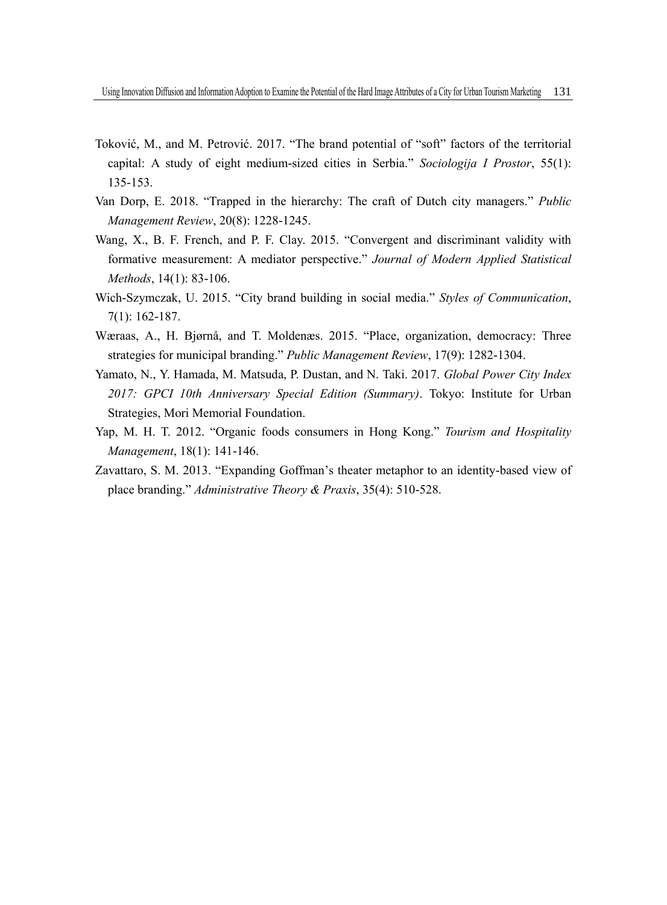- Toković, M., and M. Petrović. 2017. "The brand potential of "soft" factors of the territorial capital: A study of eight medium-sized cities in Serbia." *Sociologija I Prostor*, 55(1): 135-153.
- Van Dorp, E. 2018. "Trapped in the hierarchy: The craft of Dutch city managers." *Public Management Review*, 20(8): 1228-1245.
- Wang, X., B. F. French, and P. F. Clay. 2015. "Convergent and discriminant validity with formative measurement: A mediator perspective." *Journal of Modern Applied Statistical Methods*, 14(1): 83-106.
- Wich-Szymczak, U. 2015. "City brand building in social media." *Styles of Communication*, 7(1): 162-187.
- Wæraas, A., H. Bjørnå, and T. Moldenæs. 2015. "Place, organization, democracy: Three strategies for municipal branding." *Public Management Review*, 17(9): 1282-1304.
- Yamato, N., Y. Hamada, M. Matsuda, P. Dustan, and N. Taki. 2017. *Global Power City Index 2017: GPCI 10th Anniversary Special Edition (Summary)*. Tokyo: Institute for Urban Strategies, Mori Memorial Foundation.
- Yap, M. H. T. 2012. "Organic foods consumers in Hong Kong." *Tourism and Hospitality Management*, 18(1): 141-146.
- Zavattaro, S. M. 2013. "Expanding Goffman's theater metaphor to an identity-based view of place branding." *Administrative Theory & Praxis*, 35(4): 510-528.